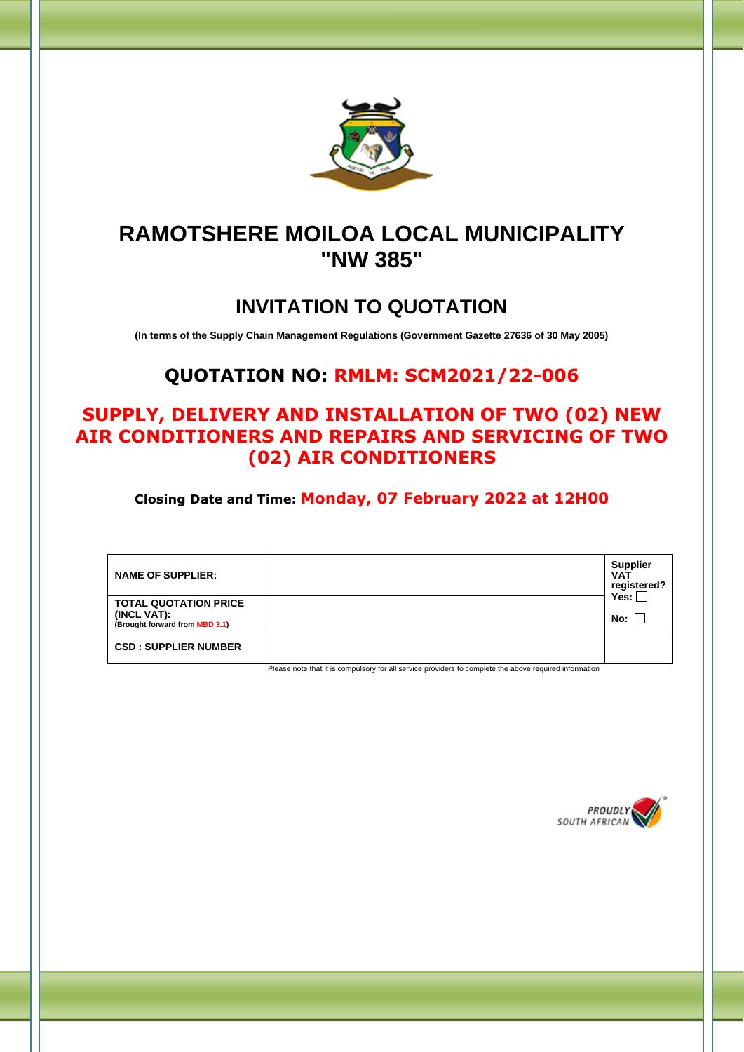

# **RAMOTSHERE MOILOA LOCAL MUNICIPALITY "NW 385"**

# **INVITATION TO QUOTATION**

**(In terms of the Supply Chain Management Regulations (Government Gazette 27636 of 30 May 2005)**

### **QUOTATION NO: RMLM: SCM2021/22-006**

### **SUPPLY, DELIVERY AND INSTALLATION OF TWO (02) NEW AIR CONDITIONERS AND REPAIRS AND SERVICING OF TWO (02) AIR CONDITIONERS**

**Closing Date and Time: Monday, 07 February 2022 at 12H00**

| <b>NAME OF SUPPLIER:</b>                                                      | <b>Supplier</b><br><b>VAT</b><br>registered?<br>Yes: |
|-------------------------------------------------------------------------------|------------------------------------------------------|
| <b>TOTAL QUOTATION PRICE</b><br>(INCL VAT):<br>(Brought forward from MBD 3.1) | No: l                                                |
| <b>CSD: SUPPLIER NUMBER</b>                                                   |                                                      |

Please note that it is compulsory for all service providers to complete the above required information

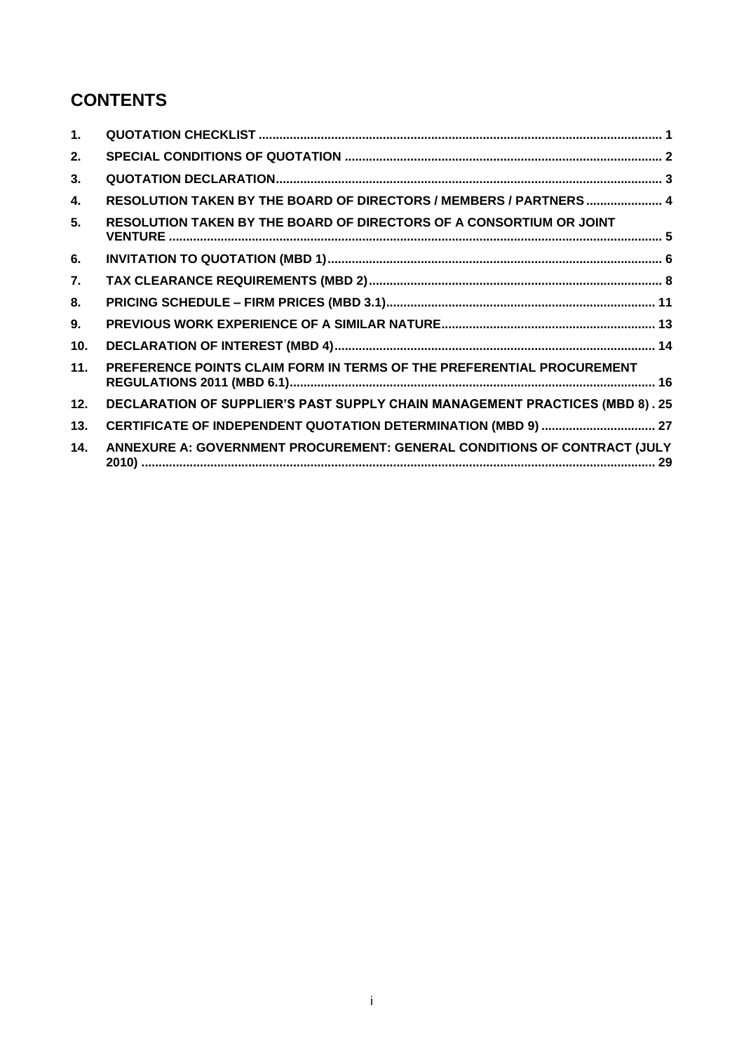### **CONTENTS**

| $\mathbf 1$ .   |                                                                                     |
|-----------------|-------------------------------------------------------------------------------------|
| 2.              |                                                                                     |
| 3.              |                                                                                     |
| 4.              | RESOLUTION TAKEN BY THE BOARD OF DIRECTORS / MEMBERS / PARTNERS  4                  |
| 5.              | RESOLUTION TAKEN BY THE BOARD OF DIRECTORS OF A CONSORTIUM OR JOINT                 |
| 6.              |                                                                                     |
| 7.              |                                                                                     |
| 8.              |                                                                                     |
| 9.              |                                                                                     |
| 10 <sub>1</sub> |                                                                                     |
| 11.             | PREFERENCE POINTS CLAIM FORM IN TERMS OF THE PREFERENTIAL PROCUREMENT               |
| 12.             | <b>DECLARATION OF SUPPLIER'S PAST SUPPLY CHAIN MANAGEMENT PRACTICES (MBD 8). 25</b> |
| 13.             |                                                                                     |
| 14.             | ANNEXURE A: GOVERNMENT PROCUREMENT: GENERAL CONDITIONS OF CONTRACT (JULY            |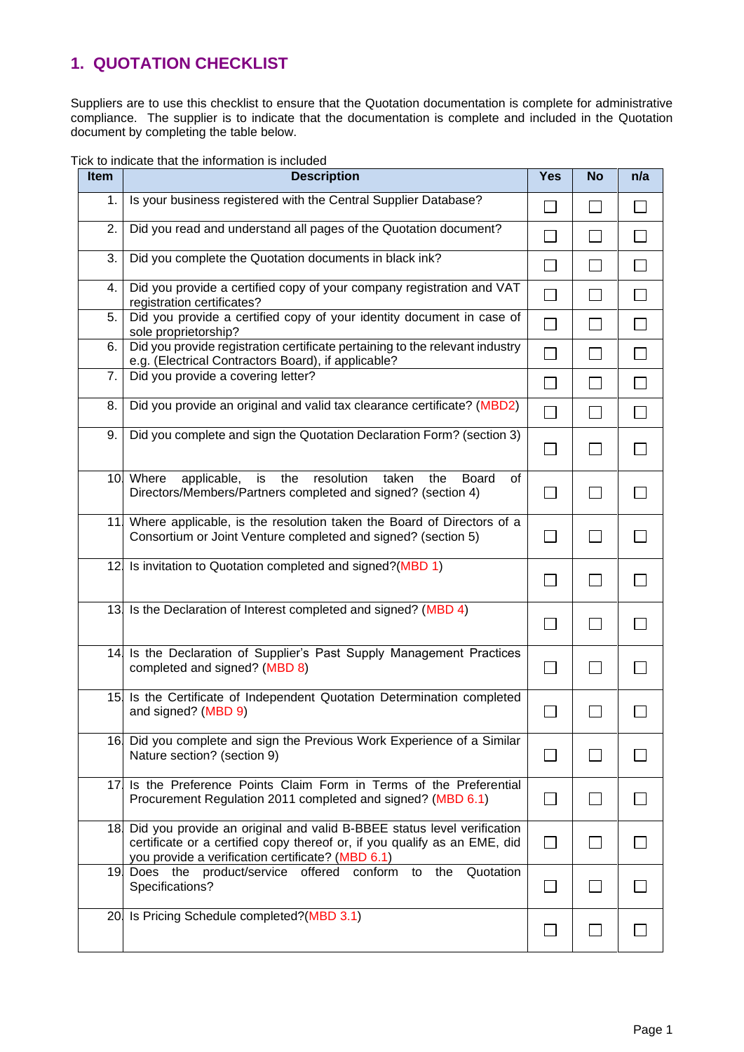### <span id="page-2-0"></span>**1. QUOTATION CHECKLIST**

Suppliers are to use this checklist to ensure that the Quotation documentation is complete for administrative compliance. The supplier is to indicate that the documentation is complete and included in the Quotation document by completing the table below.

|  | Tick to indicate that the information is included |  |
|--|---------------------------------------------------|--|
|  |                                                   |  |

| <b>Item</b>     | <b>Description</b>                                                                                                                                                                                          | <b>Yes</b>                  | <b>No</b>        | n/a            |
|-----------------|-------------------------------------------------------------------------------------------------------------------------------------------------------------------------------------------------------------|-----------------------------|------------------|----------------|
| 1.              | Is your business registered with the Central Supplier Database?                                                                                                                                             | $\vert \ \ \vert$           | П                | $\Box$         |
| 2.              | Did you read and understand all pages of the Quotation document?                                                                                                                                            | $\sim$                      | П                | $\mathsf{L}$   |
| 3.              | Did you complete the Quotation documents in black ink?                                                                                                                                                      |                             | <b>The State</b> |                |
| 4.              | Did you provide a certified copy of your company registration and VAT<br>registration certificates?                                                                                                         | $\mathcal{L}_{\mathcal{A}}$ | $\mathbf{I}$     |                |
| 5.              | Did you provide a certified copy of your identity document in case of<br>sole proprietorship?                                                                                                               | П                           | П                | $\mathbb{R}^n$ |
| 6.              | Did you provide registration certificate pertaining to the relevant industry<br>e.g. (Electrical Contractors Board), if applicable?                                                                         | $\mathcal{L}_{\mathcal{A}}$ | $\mathbf{I}$     |                |
| 7.              | Did you provide a covering letter?                                                                                                                                                                          | $\Box$                      | $\perp$          | $\sim$         |
| 8.              | Did you provide an original and valid tax clearance certificate? (MBD2)                                                                                                                                     | $\Box$                      | П                | П              |
| 9.              | Did you complete and sign the Quotation Declaration Form? (section 3)                                                                                                                                       | $\Box$                      | $\Box$           |                |
|                 | applicable,<br>resolution<br>10 Where<br>is<br>the<br>taken<br><b>Board</b><br>the<br>of<br>Directors/Members/Partners completed and signed? (section 4)                                                    | $\Box$                      | П                | $\Box$         |
| 11              | Where applicable, is the resolution taken the Board of Directors of a<br>Consortium or Joint Venture completed and signed? (section 5)                                                                      | $\Box$                      | $\Box$           |                |
|                 | 12 Is invitation to Quotation completed and signed?(MBD 1)                                                                                                                                                  |                             |                  |                |
|                 | 13 Is the Declaration of Interest completed and signed? (MBD 4)                                                                                                                                             | ΙI                          |                  |                |
| 14.             | Is the Declaration of Supplier's Past Supply Management Practices<br>completed and signed? (MBD 8)                                                                                                          | $\perp$                     | $\mathsf{L}$     |                |
| 15 <sub>l</sub> | Is the Certificate of Independent Quotation Determination completed<br>and signed? (MBD 9)                                                                                                                  |                             |                  |                |
|                 | 16 Did you complete and sign the Previous Work Experience of a Similar<br>Nature section? (section 9)                                                                                                       | <b>Contract</b>             |                  |                |
|                 | 17 Is the Preference Points Claim Form in Terms of the Preferential<br>Procurement Regulation 2011 completed and signed? (MBD 6.1)                                                                          | П                           |                  |                |
|                 | 18 Did you provide an original and valid B-BBEE status level verification<br>certificate or a certified copy thereof or, if you qualify as an EME, did<br>you provide a verification certificate? (MBD 6.1) |                             |                  |                |
|                 | 19 Does the product/service offered<br>the<br>Quotation<br>conform<br>to<br>Specifications?                                                                                                                 | $\Box$                      |                  |                |
|                 | 20 Is Pricing Schedule completed?(MBD 3.1)                                                                                                                                                                  |                             |                  |                |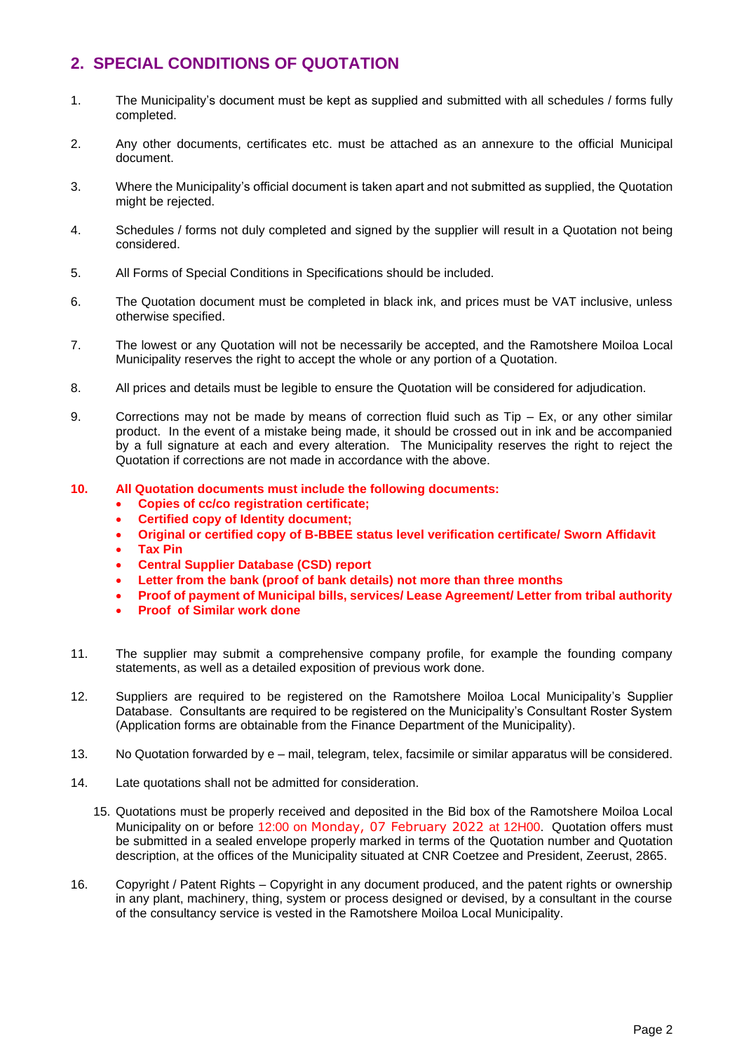### <span id="page-3-0"></span>**2. SPECIAL CONDITIONS OF QUOTATION**

- 1. The Municipality's document must be kept as supplied and submitted with all schedules / forms fully completed.
- 2. Any other documents, certificates etc. must be attached as an annexure to the official Municipal document.
- 3. Where the Municipality's official document is taken apart and not submitted as supplied, the Quotation might be rejected.
- 4. Schedules / forms not duly completed and signed by the supplier will result in a Quotation not being considered.
- 5. All Forms of Special Conditions in Specifications should be included.
- 6. The Quotation document must be completed in black ink, and prices must be VAT inclusive, unless otherwise specified.
- 7. The lowest or any Quotation will not be necessarily be accepted, and the Ramotshere Moiloa Local Municipality reserves the right to accept the whole or any portion of a Quotation.
- 8. All prices and details must be legible to ensure the Quotation will be considered for adjudication.
- 9. Corrections may not be made by means of correction fluid such as  $Tip Ex$ , or any other similar product. In the event of a mistake being made, it should be crossed out in ink and be accompanied by a full signature at each and every alteration. The Municipality reserves the right to reject the Quotation if corrections are not made in accordance with the above.
- **10. All Quotation documents must include the following documents:**
	- **Copies of cc/co registration certificate;**
	- **Certified copy of Identity document;**
	- **Original or certified copy of B-BBEE status level verification certificate/ Sworn Affidavit**
	- **Tax Pin**
	- **Central Supplier Database (CSD) report**
	- **Letter from the bank (proof of bank details) not more than three months**
	- **Proof of payment of Municipal bills, services/ Lease Agreement/ Letter from tribal authority**
	- **Proof of Similar work done**
- 11. The supplier may submit a comprehensive company profile, for example the founding company statements, as well as a detailed exposition of previous work done.
- 12. Suppliers are required to be registered on the Ramotshere Moiloa Local Municipality's Supplier Database. Consultants are required to be registered on the Municipality's Consultant Roster System (Application forms are obtainable from the Finance Department of the Municipality).
- 13. No Quotation forwarded by e mail, telegram, telex, facsimile or similar apparatus will be considered.
- 14. Late quotations shall not be admitted for consideration.
	- 15. Quotations must be properly received and deposited in the Bid box of the Ramotshere Moiloa Local Municipality on or before 12:00 on Monday, 07 February 2022 at 12H00. Quotation offers must be submitted in a sealed envelope properly marked in terms of the Quotation number and Quotation description, at the offices of the Municipality situated at CNR Coetzee and President, Zeerust, 2865.
- 16. Copyright / Patent Rights Copyright in any document produced, and the patent rights or ownership in any plant, machinery, thing, system or process designed or devised, by a consultant in the course of the consultancy service is vested in the Ramotshere Moiloa Local Municipality.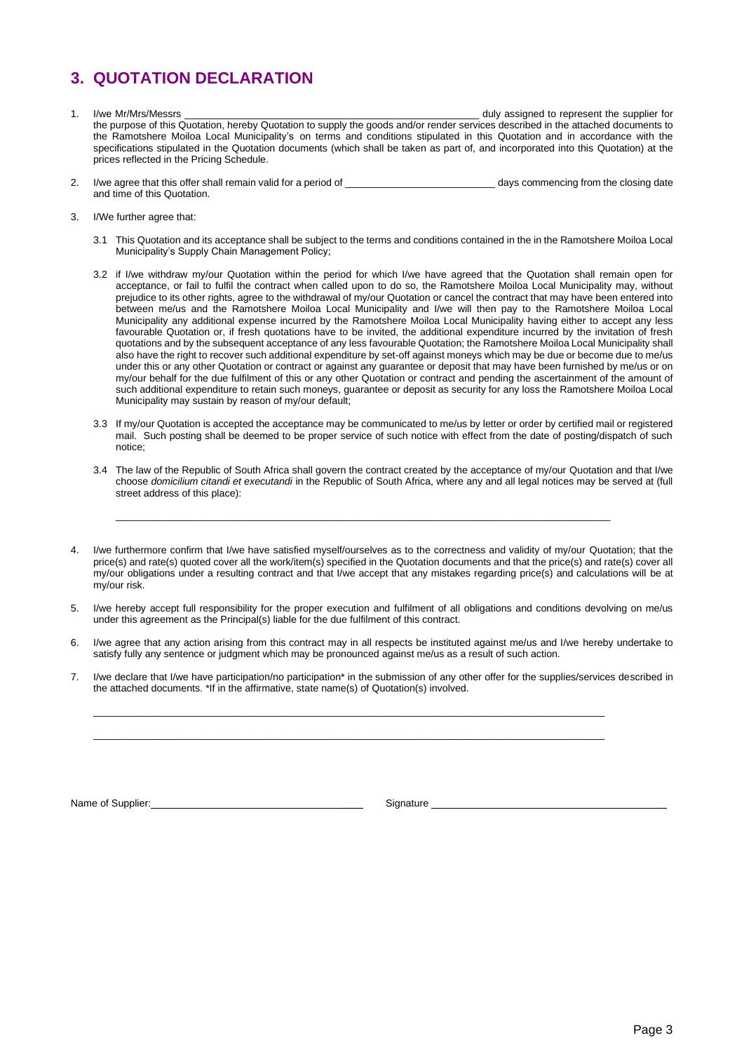### <span id="page-4-0"></span>**3. QUOTATION DECLARATION**

- 1. I/we Mr/Mrs/Messrs \_\_\_\_\_\_\_\_\_\_\_\_\_\_\_\_\_\_\_\_\_\_\_\_\_\_\_\_\_\_\_\_\_\_\_\_\_\_\_\_\_\_\_\_\_\_\_\_\_\_\_\_\_ duly assigned to represent the supplier for the purpose of this Quotation, hereby Quotation to supply the goods and/or render services described in the attached documents to the Ramotshere Moiloa Local Municipality's on terms and conditions stipulated in this Quotation and in accordance with the specifications stipulated in the Quotation documents (which shall be taken as part of, and incorporated into this Quotation) at the prices reflected in the Pricing Schedule.
- 2. I/we agree that this offer shall remain valid for a period of \_\_\_\_\_\_\_\_\_\_\_\_\_\_\_\_\_\_\_\_\_\_\_\_\_\_\_ days commencing from the closing date and time of this Quotation.
- 3. I/We further agree that:
	- 3.1 This Quotation and its acceptance shall be subject to the terms and conditions contained in the in the Ramotshere Moiloa Local Municipality's Supply Chain Management Policy;
	- 3.2 if I/we withdraw my/our Quotation within the period for which I/we have agreed that the Quotation shall remain open for acceptance, or fail to fulfil the contract when called upon to do so, the Ramotshere Moiloa Local Municipality may, without prejudice to its other rights, agree to the withdrawal of my/our Quotation or cancel the contract that may have been entered into between me/us and the Ramotshere Moiloa Local Municipality and I/we will then pay to the Ramotshere Moiloa Local Municipality any additional expense incurred by the Ramotshere Moiloa Local Municipality having either to accept any less favourable Quotation or, if fresh quotations have to be invited, the additional expenditure incurred by the invitation of fresh quotations and by the subsequent acceptance of any less favourable Quotation; the Ramotshere Moiloa Local Municipality shall also have the right to recover such additional expenditure by set-off against moneys which may be due or become due to me/us under this or any other Quotation or contract or against any guarantee or deposit that may have been furnished by me/us or on my/our behalf for the due fulfilment of this or any other Quotation or contract and pending the ascertainment of the amount of such additional expenditure to retain such moneys, guarantee or deposit as security for any loss the Ramotshere Moiloa Local Municipality may sustain by reason of my/our default;
	- 3.3 If my/our Quotation is accepted the acceptance may be communicated to me/us by letter or order by certified mail or registered mail. Such posting shall be deemed to be proper service of such notice with effect from the date of posting/dispatch of such notice;
	- 3.4 The law of the Republic of South Africa shall govern the contract created by the acceptance of my/our Quotation and that I/we choose *domicilium citandi et executandi* in the Republic of South Africa, where any and all legal notices may be served at (full street address of this place):
- I/we furthermore confirm that I/we have satisfied myself/ourselves as to the correctness and validity of my/our Quotation; that the price(s) and rate(s) quoted cover all the work/item(s) specified in the Quotation documents and that the price(s) and rate(s) cover all my/our obligations under a resulting contract and that I/we accept that any mistakes regarding price(s) and calculations will be at my/our risk.

\_\_\_\_\_\_\_\_\_\_\_\_\_\_\_\_\_\_\_\_\_\_\_\_\_\_\_\_\_\_\_\_\_\_\_\_\_\_\_\_\_\_\_\_\_\_\_\_\_\_\_\_\_\_\_\_\_\_\_\_\_\_\_\_\_\_\_\_\_\_\_\_\_\_\_\_\_\_\_\_\_\_\_\_\_\_\_\_\_

- 5. I/we hereby accept full responsibility for the proper execution and fulfilment of all obligations and conditions devolving on me/us under this agreement as the Principal(s) liable for the due fulfilment of this contract.
- 6. I/we agree that any action arising from this contract may in all respects be instituted against me/us and I/we hereby undertake to satisfy fully any sentence or judgment which may be pronounced against me/us as a result of such action.
- 7. I/we declare that I/we have participation/no participation\* in the submission of any other offer for the supplies/services described in the attached documents. \*If in the affirmative, state name(s) of Quotation(s) involved.

 $\_$  , and the set of the set of the set of the set of the set of the set of the set of the set of the set of the set of the set of the set of the set of the set of the set of the set of the set of the set of the set of th  $\_$  , and the set of the set of the set of the set of the set of the set of the set of the set of the set of the set of the set of the set of the set of the set of the set of the set of the set of the set of the set of th

Name of Supplier: \_\_\_\_ Signature \_\_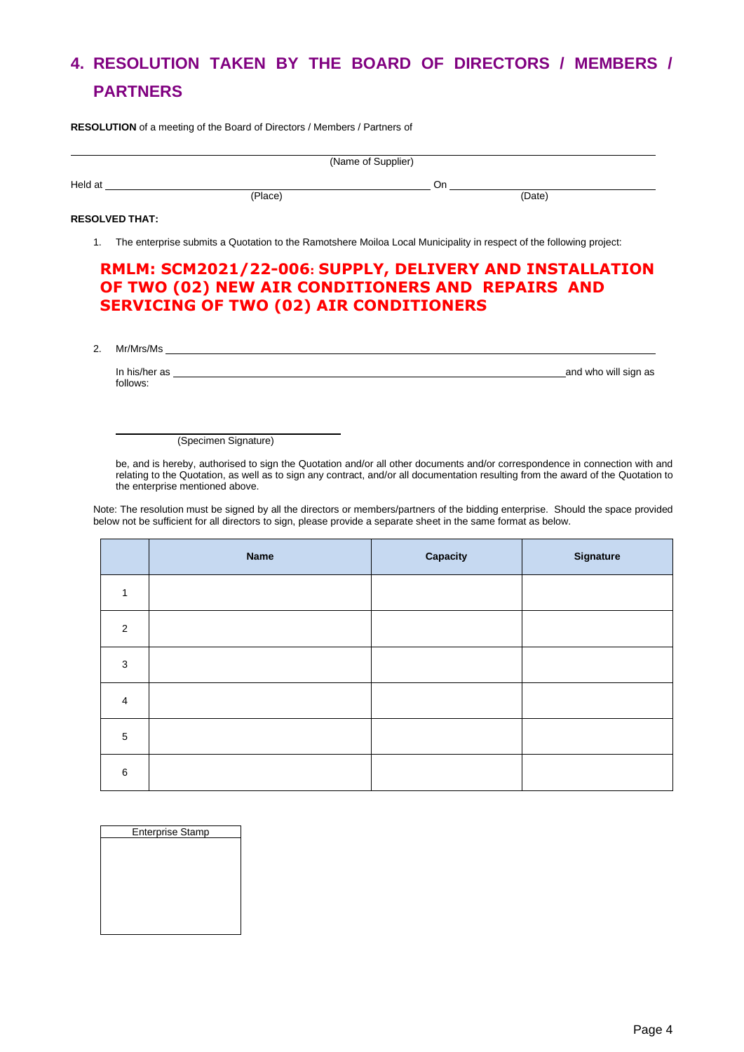# <span id="page-5-0"></span>**4. RESOLUTION TAKEN BY THE BOARD OF DIRECTORS / MEMBERS / PARTNERS**

**RESOLUTION** of a meeting of the Board of Directors / Members / Partners of

|         | (Name of Supplier) |     |        |
|---------|--------------------|-----|--------|
| Held at |                    | .Jr |        |
|         | (Place)            |     | (Date) |

#### **RESOLVED THAT:**

1. The enterprise submits a Quotation to the Ramotshere Moiloa Local Municipality in respect of the following project:

#### **RMLM: SCM2021/22-006: SUPPLY, DELIVERY AND INSTALLATION OF TWO (02) NEW AIR CONDITIONERS AND REPAIRS AND SERVICING OF TWO (02) AIR CONDITIONERS**

2. Mr/Mrs/Ms

In his/her as **and who will sign as and who will sign as** and who will sign as **and who will sign as** follows:

(Specimen Signature)

be, and is hereby, authorised to sign the Quotation and/or all other documents and/or correspondence in connection with and relating to the Quotation, as well as to sign any contract, and/or all documentation resulting from the award of the Quotation to the enterprise mentioned above.

Note: The resolution must be signed by all the directors or members/partners of the bidding enterprise. Should the space provided below not be sufficient for all directors to sign, please provide a separate sheet in the same format as below.

|                | <b>Name</b> | Capacity | Signature |
|----------------|-------------|----------|-----------|
| 1              |             |          |           |
| 2              |             |          |           |
| 3              |             |          |           |
| $\overline{4}$ |             |          |           |
| $\overline{5}$ |             |          |           |
| $\,6\,$        |             |          |           |

| <b>Enterprise Stamp</b> |  |
|-------------------------|--|
|                         |  |
|                         |  |
|                         |  |
|                         |  |
|                         |  |
|                         |  |
|                         |  |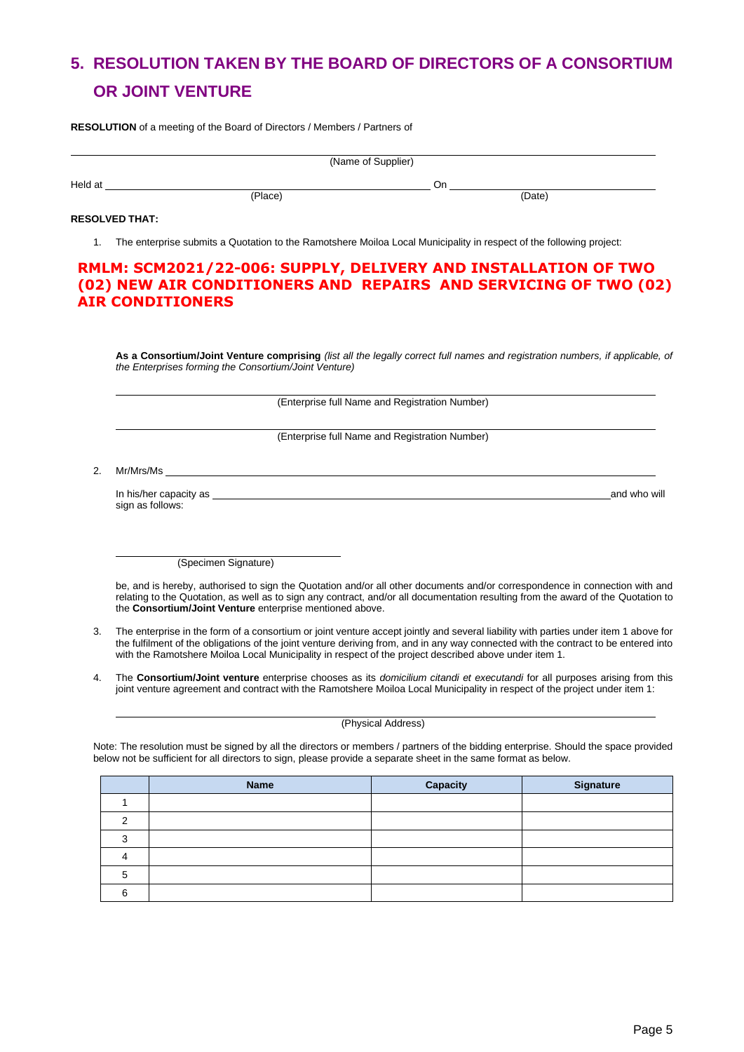# <span id="page-6-0"></span>**5. RESOLUTION TAKEN BY THE BOARD OF DIRECTORS OF A CONSORTIUM OR JOINT VENTURE**

**RESOLUTION** of a meeting of the Board of Directors / Members / Partners of

|         |         | (Name of Supplier) |  |
|---------|---------|--------------------|--|
| Held at |         | Or                 |  |
|         | (Place) | (Date)             |  |

#### **RESOLVED THAT:**

1. The enterprise submits a Quotation to the Ramotshere Moiloa Local Municipality in respect of the following project:

#### **RMLM: SCM2021/22-006: SUPPLY, DELIVERY AND INSTALLATION OF TWO (02) NEW AIR CONDITIONERS AND REPAIRS AND SERVICING OF TWO (02) AIR CONDITIONERS**

**As a Consortium/Joint Venture comprising** *(list all the legally correct full names and registration numbers, if applicable, of the Enterprises forming the Consortium/Joint Venture)*

(Enterprise full Name and Registration Number)

(Enterprise full Name and Registration Number)

2. Mr/Mrs/Ms

In his/her capacity as **and who will be a set of the set of the set of the set of the set of the set of the set of the set of the set of the set of the set of the set of the set of the set of the set of the set of the set** sign as follows:

(Specimen Signature)

be, and is hereby, authorised to sign the Quotation and/or all other documents and/or correspondence in connection with and relating to the Quotation, as well as to sign any contract, and/or all documentation resulting from the award of the Quotation to the **Consortium/Joint Venture** enterprise mentioned above.

- 3. The enterprise in the form of a consortium or joint venture accept jointly and several liability with parties under item 1 above for the fulfilment of the obligations of the joint venture deriving from, and in any way connected with the contract to be entered into with the Ramotshere Moiloa Local Municipality in respect of the project described above under item 1.
- 4. The **Consortium/Joint venture** enterprise chooses as its *domicilium citandi et executandi* for all purposes arising from this joint venture agreement and contract with the Ramotshere Moiloa Local Municipality in respect of the project under item 1:

#### (Physical Address)

Note: The resolution must be signed by all the directors or members / partners of the bidding enterprise. Should the space provided below not be sufficient for all directors to sign, please provide a separate sheet in the same format as below.

|   | <b>Name</b> | Capacity | <b>Signature</b> |
|---|-------------|----------|------------------|
|   |             |          |                  |
|   |             |          |                  |
|   |             |          |                  |
|   |             |          |                  |
|   |             |          |                  |
| ค |             |          |                  |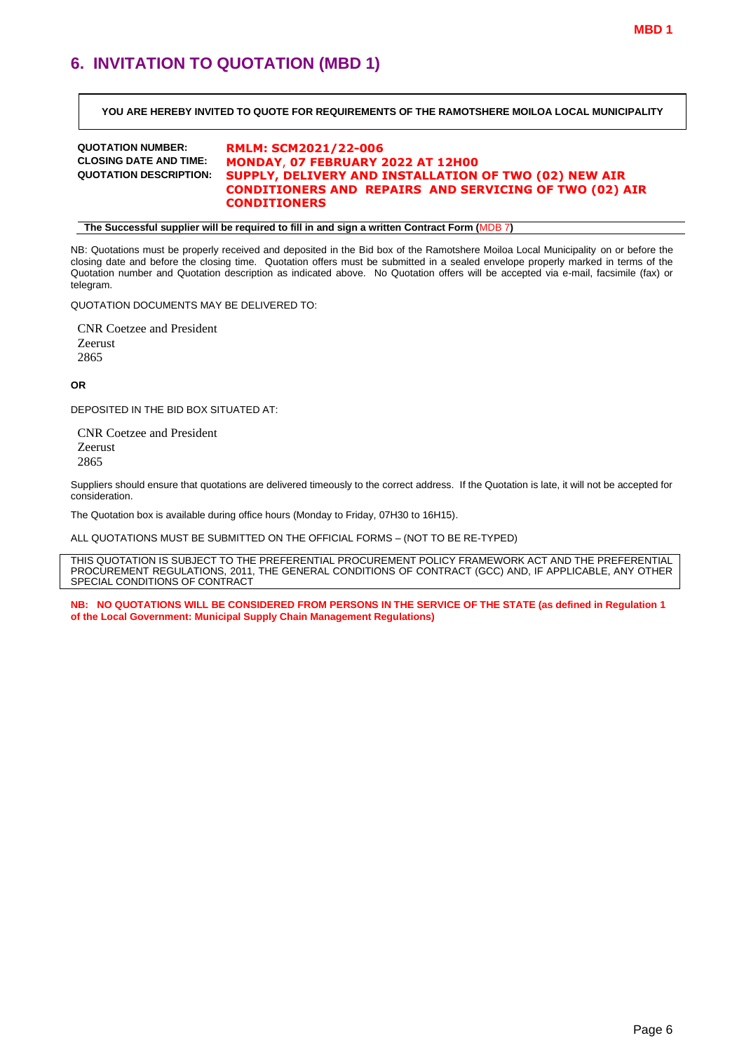### <span id="page-7-0"></span>**6. INVITATION TO QUOTATION (MBD 1)**

**YOU ARE HEREBY INVITED TO QUOTE FOR REQUIREMENTS OF THE RAMOTSHERE MOILOA LOCAL MUNICIPALITY**

# **QUOTATION NUMBER: RMLM: SCM2021/22-006**

#### **CLOSING DATE AND TIME: MONDAY**, **07 FEBRUARY 2022 AT 12H00 QUOTATION DESCRIPTION: SUPPLY, DELIVERY AND INSTALLATION OF TWO (02) NEW AIR CONDITIONERS AND REPAIRS AND SERVICING OF TWO (02) AIR CONDITIONERS**

**The Successful supplier will be required to fill in and sign a written Contract Form (**MDB 7**)**

NB: Quotations must be properly received and deposited in the Bid box of the Ramotshere Moiloa Local Municipality on or before the closing date and before the closing time. Quotation offers must be submitted in a sealed envelope properly marked in terms of the Quotation number and Quotation description as indicated above. No Quotation offers will be accepted via e-mail, facsimile (fax) or telegram.

QUOTATION DOCUMENTS MAY BE DELIVERED TO:

CNR Coetzee and President Zeerust 2865

**OR**

DEPOSITED IN THE BID BOX SITUATED AT:

CNR Coetzee and President Zeerust 2865

Suppliers should ensure that quotations are delivered timeously to the correct address. If the Quotation is late, it will not be accepted for consideration.

The Quotation box is available during office hours (Monday to Friday, 07H30 to 16H15).

ALL QUOTATIONS MUST BE SUBMITTED ON THE OFFICIAL FORMS – (NOT TO BE RE-TYPED)

THIS QUOTATION IS SUBJECT TO THE PREFERENTIAL PROCUREMENT POLICY FRAMEWORK ACT AND THE PREFERENTIAL PROCUREMENT REGULATIONS, 2011, THE GENERAL CONDITIONS OF CONTRACT (GCC) AND, IF APPLICABLE, ANY OTHER SPECIAL CONDITIONS OF CONTRACT

**NB: NO QUOTATIONS WILL BE CONSIDERED FROM PERSONS IN THE SERVICE OF THE STATE (as defined in Regulation 1 of the Local Government: Municipal Supply Chain Management Regulations)**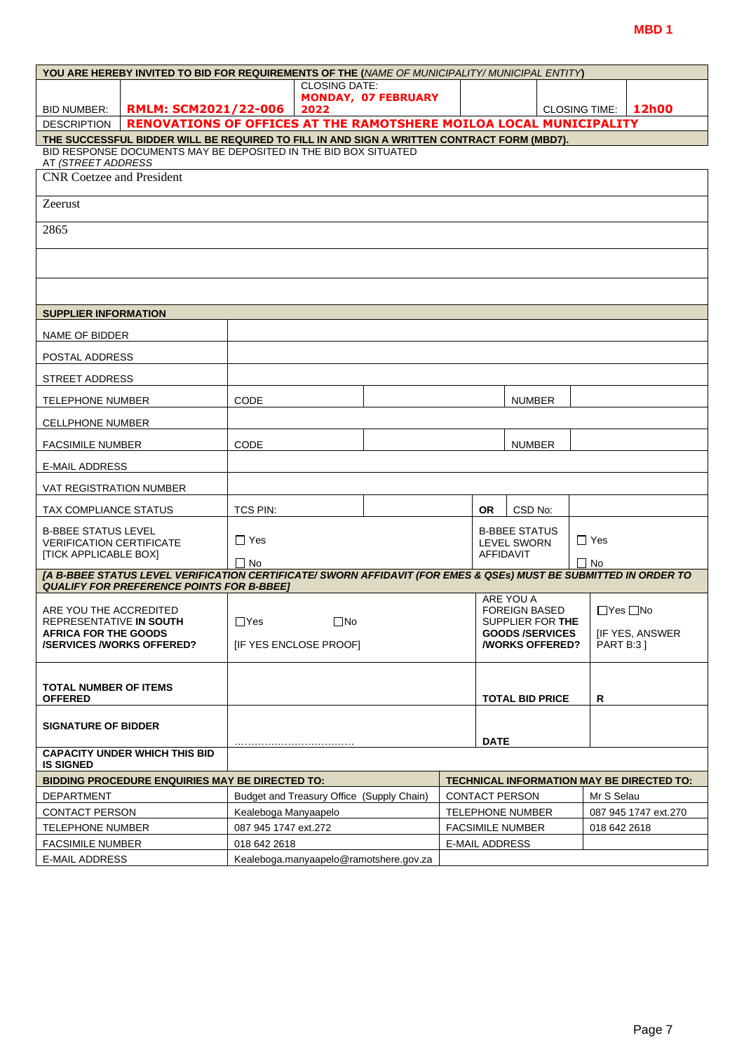|                                                                | YOU ARE HEREBY INVITED TO BID FOR REQUIREMENTS OF THE (NAME OF MUNICIPALITY/MUNICIPAL ENTITY)                                                                        |                      |                                           |                                        |                       |                                                       |                      |                                           |
|----------------------------------------------------------------|----------------------------------------------------------------------------------------------------------------------------------------------------------------------|----------------------|-------------------------------------------|----------------------------------------|-----------------------|-------------------------------------------------------|----------------------|-------------------------------------------|
|                                                                |                                                                                                                                                                      |                      | <b>CLOSING DATE:</b>                      |                                        |                       |                                                       |                      |                                           |
| BID NUMBER:                                                    | <b>RMLM: SCM2021/22-006</b>                                                                                                                                          |                      | 2022                                      | <b>MONDAY, 07 FEBRUARY</b>             |                       |                                                       | <b>CLOSING TIME:</b> | 12h00                                     |
| <b>DESCRIPTION</b>                                             | RENOVATIONS OF OFFICES AT THE RAMOTSHERE MOILOA LOCAL MUNICIPALITY                                                                                                   |                      |                                           |                                        |                       |                                                       |                      |                                           |
|                                                                | THE SUCCESSFUL BIDDER WILL BE REQUIRED TO FILL IN AND SIGN A WRITTEN CONTRACT FORM (MBD7).                                                                           |                      |                                           |                                        |                       |                                                       |                      |                                           |
| AT <i>(STREET ADDRESS</i>                                      | BID RESPONSE DOCUMENTS MAY BE DEPOSITED IN THE BID BOX SITUATED                                                                                                      |                      |                                           |                                        |                       |                                                       |                      |                                           |
| <b>CNR</b> Coetzee and President                               |                                                                                                                                                                      |                      |                                           |                                        |                       |                                                       |                      |                                           |
| Zeerust                                                        |                                                                                                                                                                      |                      |                                           |                                        |                       |                                                       |                      |                                           |
| 2865                                                           |                                                                                                                                                                      |                      |                                           |                                        |                       |                                                       |                      |                                           |
|                                                                |                                                                                                                                                                      |                      |                                           |                                        |                       |                                                       |                      |                                           |
|                                                                |                                                                                                                                                                      |                      |                                           |                                        |                       |                                                       |                      |                                           |
| <b>SUPPLIER INFORMATION</b>                                    |                                                                                                                                                                      |                      |                                           |                                        |                       |                                                       |                      |                                           |
| NAME OF BIDDER                                                 |                                                                                                                                                                      |                      |                                           |                                        |                       |                                                       |                      |                                           |
|                                                                |                                                                                                                                                                      |                      |                                           |                                        |                       |                                                       |                      |                                           |
| POSTAL ADDRESS<br><b>STREET ADDRESS</b>                        |                                                                                                                                                                      |                      |                                           |                                        |                       |                                                       |                      |                                           |
| <b>TELEPHONE NUMBER</b>                                        |                                                                                                                                                                      | <b>CODE</b>          |                                           |                                        |                       | <b>NUMBER</b>                                         |                      |                                           |
| <b>CELLPHONE NUMBER</b>                                        |                                                                                                                                                                      |                      |                                           |                                        |                       |                                                       |                      |                                           |
| <b>FACSIMILE NUMBER</b>                                        |                                                                                                                                                                      | CODE                 |                                           |                                        |                       | <b>NUMBER</b>                                         |                      |                                           |
| E-MAIL ADDRESS                                                 |                                                                                                                                                                      |                      |                                           |                                        |                       |                                                       |                      |                                           |
| VAT REGISTRATION NUMBER                                        |                                                                                                                                                                      |                      |                                           |                                        |                       |                                                       |                      |                                           |
| TAX COMPLIANCE STATUS                                          |                                                                                                                                                                      | TCS PIN:             |                                           |                                        | OR.                   | CSD No:                                               |                      |                                           |
| <b>B-BBEE STATUS LEVEL</b>                                     |                                                                                                                                                                      |                      |                                           |                                        |                       | <b>B-BBEE STATUS</b>                                  |                      |                                           |
| <b>VERIFICATION CERTIFICATE</b>                                |                                                                                                                                                                      | $\Box$ Yes           |                                           |                                        |                       | <b>LEVEL SWORN</b>                                    | $\Box$ Yes           |                                           |
| <b>[TICK APPLICABLE BOX]</b>                                   |                                                                                                                                                                      | $\Box$ No            |                                           |                                        | <b>AFFIDAVIT</b>      |                                                       | $\Box$ No            |                                           |
|                                                                | [A B-BBEE STATUS LEVEL VERIFICATION CERTIFICATE/ SWORN AFFIDAVIT (FOR EMES & QSEs) MUST BE SUBMITTED IN ORDER TO<br><b>QUALIFY FOR PREFERENCE POINTS FOR B-BBEET</b> |                      |                                           |                                        |                       |                                                       |                      |                                           |
| ARE YOU THE ACCREDITED                                         |                                                                                                                                                                      |                      |                                           |                                        |                       | ARE YOU A<br><b>FOREIGN BASED</b>                     | $\Box$ Yes $\Box$ No |                                           |
| REPRESENTATIVE IN SOUTH                                        |                                                                                                                                                                      | $\Box$ Yes           | $\square$ No                              |                                        |                       | SUPPLIER FOR THE                                      |                      |                                           |
| <b>AFRICA FOR THE GOODS</b><br><b>/SERVICES/WORKS OFFERED?</b> |                                                                                                                                                                      |                      | <b>IF YES ENCLOSE PROOFI</b>              |                                        |                       | <b>GOODS/SERVICES</b><br><b><i>NORKS OFFERED?</i></b> | <b>PART B:31</b>     | [IF YES, ANSWER                           |
|                                                                |                                                                                                                                                                      |                      |                                           |                                        |                       |                                                       |                      |                                           |
|                                                                |                                                                                                                                                                      |                      |                                           |                                        |                       |                                                       |                      |                                           |
| <b>TOTAL NUMBER OF ITEMS</b><br><b>OFFERED</b>                 |                                                                                                                                                                      |                      |                                           |                                        |                       | <b>TOTAL BID PRICE</b>                                | R                    |                                           |
| <b>SIGNATURE OF BIDDER</b>                                     |                                                                                                                                                                      |                      |                                           |                                        |                       |                                                       |                      |                                           |
|                                                                |                                                                                                                                                                      |                      |                                           |                                        | <b>DATE</b>           |                                                       |                      |                                           |
| <b>IS SIGNED</b>                                               | <b>CAPACITY UNDER WHICH THIS BID</b>                                                                                                                                 |                      |                                           |                                        |                       |                                                       |                      |                                           |
|                                                                | <b>BIDDING PROCEDURE ENQUIRIES MAY BE DIRECTED TO:</b>                                                                                                               |                      |                                           |                                        |                       |                                                       |                      | TECHNICAL INFORMATION MAY BE DIRECTED TO: |
| <b>DEPARTMENT</b>                                              |                                                                                                                                                                      |                      | Budget and Treasury Office (Supply Chain) |                                        |                       | <b>CONTACT PERSON</b>                                 | Mr S Selau           |                                           |
| <b>CONTACT PERSON</b>                                          |                                                                                                                                                                      | Kealeboga Manyaapelo |                                           |                                        |                       | <b>TELEPHONE NUMBER</b>                               |                      | 087 945 1747 ext.270                      |
| <b>TELEPHONE NUMBER</b>                                        |                                                                                                                                                                      | 087 945 1747 ext.272 |                                           |                                        |                       | <b>FACSIMILE NUMBER</b>                               | 018 642 2618         |                                           |
| <b>FACSIMILE NUMBER</b>                                        |                                                                                                                                                                      | 018 642 2618         |                                           |                                        | <b>E-MAIL ADDRESS</b> |                                                       |                      |                                           |
| <b>E-MAIL ADDRESS</b>                                          |                                                                                                                                                                      |                      |                                           | Kealeboga.manyaapelo@ramotshere.gov.za |                       |                                                       |                      |                                           |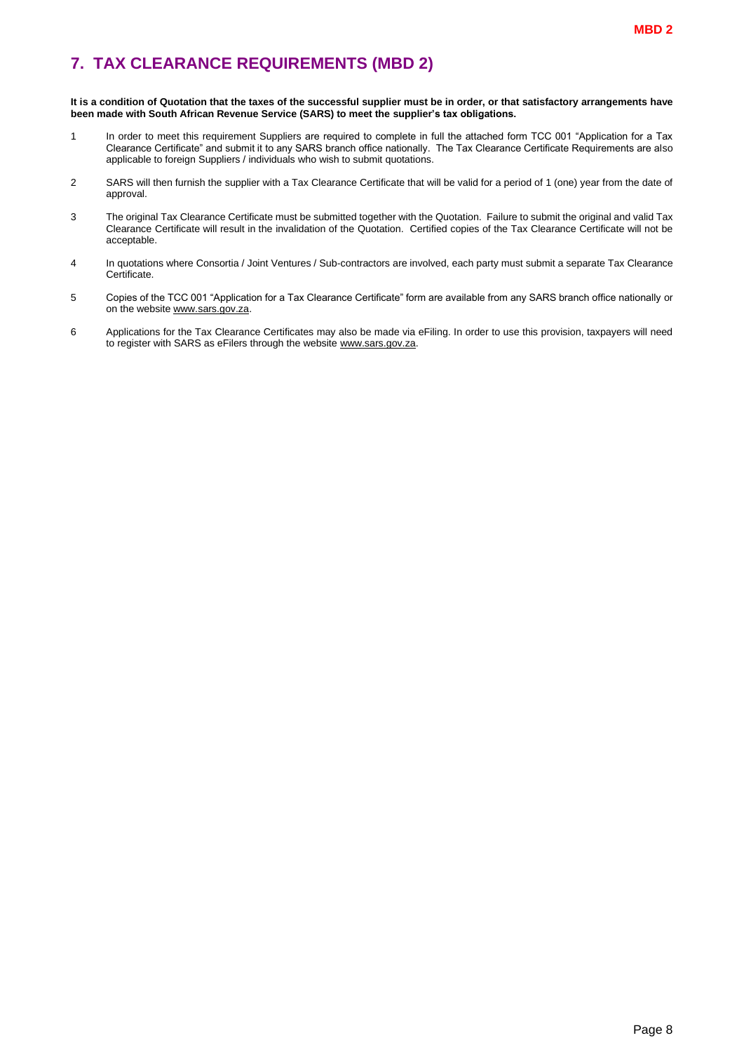### <span id="page-9-0"></span>**7. TAX CLEARANCE REQUIREMENTS (MBD 2)**

#### **It is a condition of Quotation that the taxes of the successful supplier must be in order, or that satisfactory arrangements have been made with South African Revenue Service (SARS) to meet the supplier's tax obligations.**

- 1 In order to meet this requirement Suppliers are required to complete in full the attached form TCC 001 "Application for a Tax Clearance Certificate" and submit it to any SARS branch office nationally. The Tax Clearance Certificate Requirements are also applicable to foreign Suppliers / individuals who wish to submit quotations.
- 2 SARS will then furnish the supplier with a Tax Clearance Certificate that will be valid for a period of 1 (one) year from the date of approval.
- 3 The original Tax Clearance Certificate must be submitted together with the Quotation. Failure to submit the original and valid Tax Clearance Certificate will result in the invalidation of the Quotation. Certified copies of the Tax Clearance Certificate will not be acceptable.
- 4 In quotations where Consortia / Joint Ventures / Sub-contractors are involved, each party must submit a separate Tax Clearance Certificate.
- 5 Copies of the TCC 001 "Application for a Tax Clearance Certificate" form are available from any SARS branch office nationally or on the website [www.sars.gov.za.](http://www.sars.gov.za/)
- 6 Applications for the Tax Clearance Certificates may also be made via eFiling. In order to use this provision, taxpayers will need to register with SARS as eFilers through the website [www.sars.gov.za.](http://www.sars.gov.za/)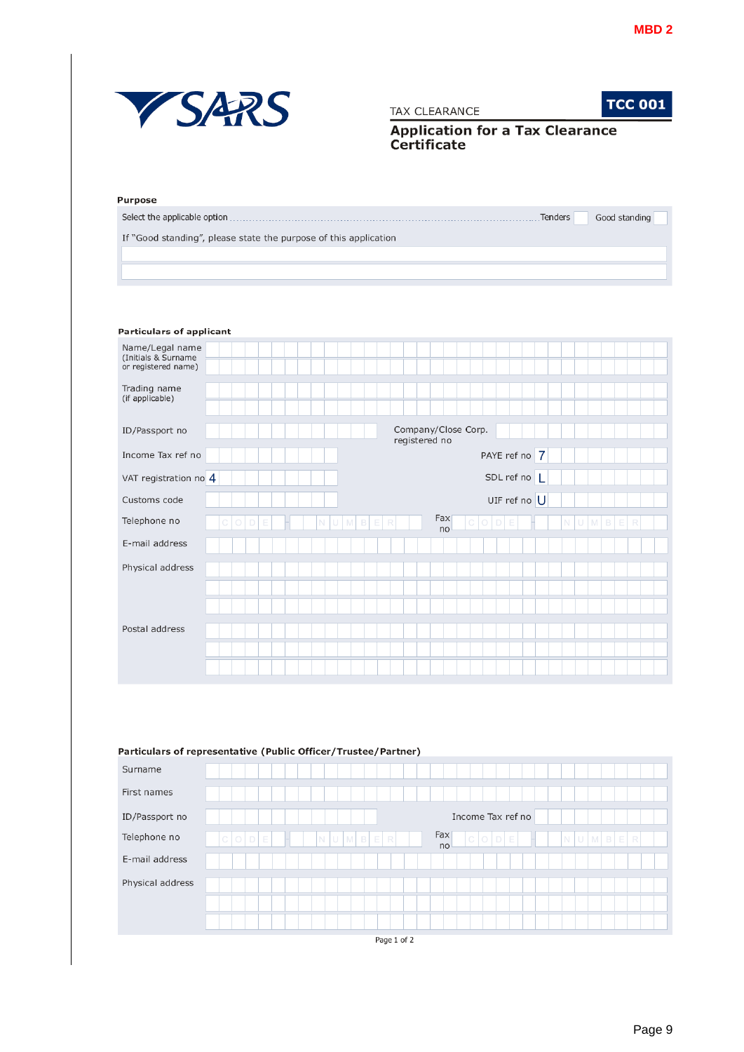

#### Particulars of representative (Public Officer/Trustee/Partner)

| Surname          |                                                                          |
|------------------|--------------------------------------------------------------------------|
| First names      |                                                                          |
| ID/Passport no   | Income Tax ref no                                                        |
| Telephone no     | Fax<br>NUMBE<br>$C$ $O$ $D$<br>E<br>NUMBER<br>$C$ $O$ $D$ $E$<br>R<br>no |
| E-mail address   |                                                                          |
| Physical address |                                                                          |
|                  | Page 1 of 2                                                              |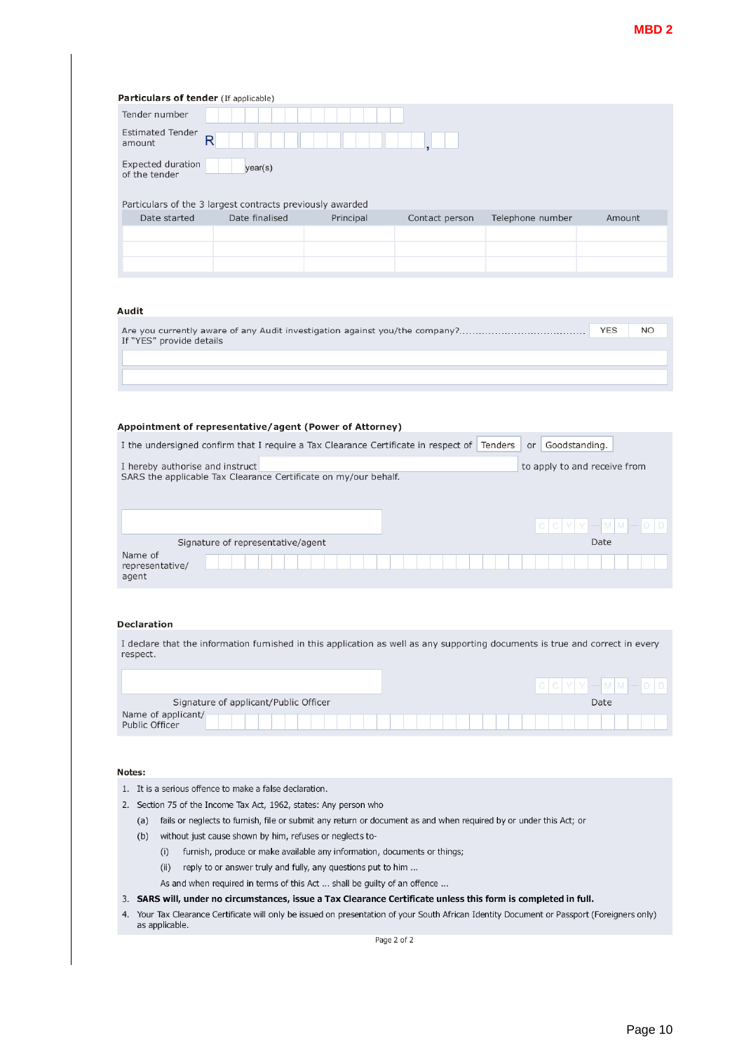| <b>Estimated Tender</b>              |                                                                                                                               |           |                |                                |                              |
|--------------------------------------|-------------------------------------------------------------------------------------------------------------------------------|-----------|----------------|--------------------------------|------------------------------|
|                                      | $\mathsf R$                                                                                                                   |           |                |                                |                              |
| amount                               |                                                                                                                               |           |                |                                |                              |
| Expected duration<br>of the tender   | year(s)                                                                                                                       |           |                |                                |                              |
|                                      |                                                                                                                               |           |                |                                |                              |
| Date started                         | Particulars of the 3 largest contracts previously awarded<br>Date finalised                                                   | Principal | Contact person | Telephone number               | Amount                       |
|                                      |                                                                                                                               |           |                |                                |                              |
|                                      |                                                                                                                               |           |                |                                |                              |
|                                      |                                                                                                                               |           |                |                                |                              |
|                                      |                                                                                                                               |           |                |                                |                              |
|                                      |                                                                                                                               |           |                |                                |                              |
|                                      |                                                                                                                               |           |                |                                |                              |
| Audit                                |                                                                                                                               |           |                |                                |                              |
|                                      | Are you currently aware of any Audit investigation against you/the company?                                                   |           |                |                                | <b>YES</b><br>NO             |
| If "YES" provide details             |                                                                                                                               |           |                |                                |                              |
|                                      |                                                                                                                               |           |                |                                |                              |
|                                      |                                                                                                                               |           |                |                                |                              |
|                                      |                                                                                                                               |           |                |                                |                              |
|                                      |                                                                                                                               |           |                |                                |                              |
|                                      |                                                                                                                               |           |                |                                |                              |
|                                      |                                                                                                                               |           |                |                                |                              |
|                                      |                                                                                                                               |           |                |                                |                              |
|                                      | Appointment of representative/agent (Power of Attorney)                                                                       |           |                |                                |                              |
|                                      |                                                                                                                               |           |                |                                |                              |
|                                      | I the undersigned confirm that I require a Tax Clearance Certificate in respect of                                            |           |                | Tenders<br>Goodstanding.<br>or |                              |
|                                      |                                                                                                                               |           |                |                                |                              |
| I hereby authorise and instruct      |                                                                                                                               |           |                |                                | to apply to and receive from |
|                                      |                                                                                                                               |           |                |                                |                              |
|                                      | SARS the applicable Tax Clearance Certificate on my/our behalf.                                                               |           |                |                                |                              |
|                                      |                                                                                                                               |           |                |                                |                              |
|                                      |                                                                                                                               |           |                |                                |                              |
|                                      |                                                                                                                               |           |                |                                |                              |
|                                      |                                                                                                                               |           |                |                                |                              |
|                                      |                                                                                                                               |           |                |                                |                              |
|                                      |                                                                                                                               |           |                |                                |                              |
|                                      | Signature of representative/agent                                                                                             |           |                |                                | Date                         |
|                                      |                                                                                                                               |           |                |                                |                              |
|                                      |                                                                                                                               |           |                |                                |                              |
| Name of<br>representative/<br>agent  |                                                                                                                               |           |                |                                |                              |
|                                      |                                                                                                                               |           |                |                                |                              |
|                                      |                                                                                                                               |           |                |                                |                              |
|                                      |                                                                                                                               |           |                |                                |                              |
|                                      |                                                                                                                               |           |                |                                |                              |
|                                      |                                                                                                                               |           |                |                                |                              |
|                                      |                                                                                                                               |           |                |                                |                              |
|                                      | I declare that the information furnished in this application as well as any supporting documents is true and correct in every |           |                |                                |                              |
|                                      |                                                                                                                               |           |                |                                |                              |
|                                      |                                                                                                                               |           |                |                                |                              |
|                                      |                                                                                                                               |           |                |                                |                              |
|                                      |                                                                                                                               |           |                |                                |                              |
|                                      | Signature of applicant/Public Officer                                                                                         |           |                |                                | Date                         |
| <b>Declaration</b><br>respect.       |                                                                                                                               |           |                |                                |                              |
|                                      |                                                                                                                               |           |                |                                |                              |
|                                      |                                                                                                                               |           |                |                                |                              |
|                                      |                                                                                                                               |           |                |                                |                              |
|                                      |                                                                                                                               |           |                |                                |                              |
| Name of applicant/<br>Public Officer |                                                                                                                               |           |                |                                |                              |
|                                      |                                                                                                                               |           |                |                                |                              |
|                                      | 1. It is a serious offence to make a false declaration.                                                                       |           |                |                                |                              |
|                                      |                                                                                                                               |           |                |                                |                              |
|                                      | 2. Section 75 of the Income Tax Act, 1962, states: Any person who                                                             |           |                |                                |                              |
| (a)                                  | fails or neglects to furnish, file or submit any return or document as and when required by or under this Act; or             |           |                |                                |                              |
|                                      |                                                                                                                               |           |                |                                |                              |
| (b)                                  | without just cause shown by him, refuses or neglects to-                                                                      |           |                |                                |                              |
| (i)                                  | furnish, produce or make available any information, documents or things;                                                      |           |                |                                |                              |
| (ii)                                 | reply to or answer truly and fully, any questions put to him                                                                  |           |                |                                |                              |
| Notes:                               |                                                                                                                               |           |                |                                |                              |
|                                      | As and when required in terms of this Act  shall be guilty of an offence                                                      |           |                |                                |                              |
|                                      | 3. SARS will, under no circumstances, issue a Tax Clearance Certificate unless this form is completed in full.                |           |                |                                |                              |

Page 2 of 2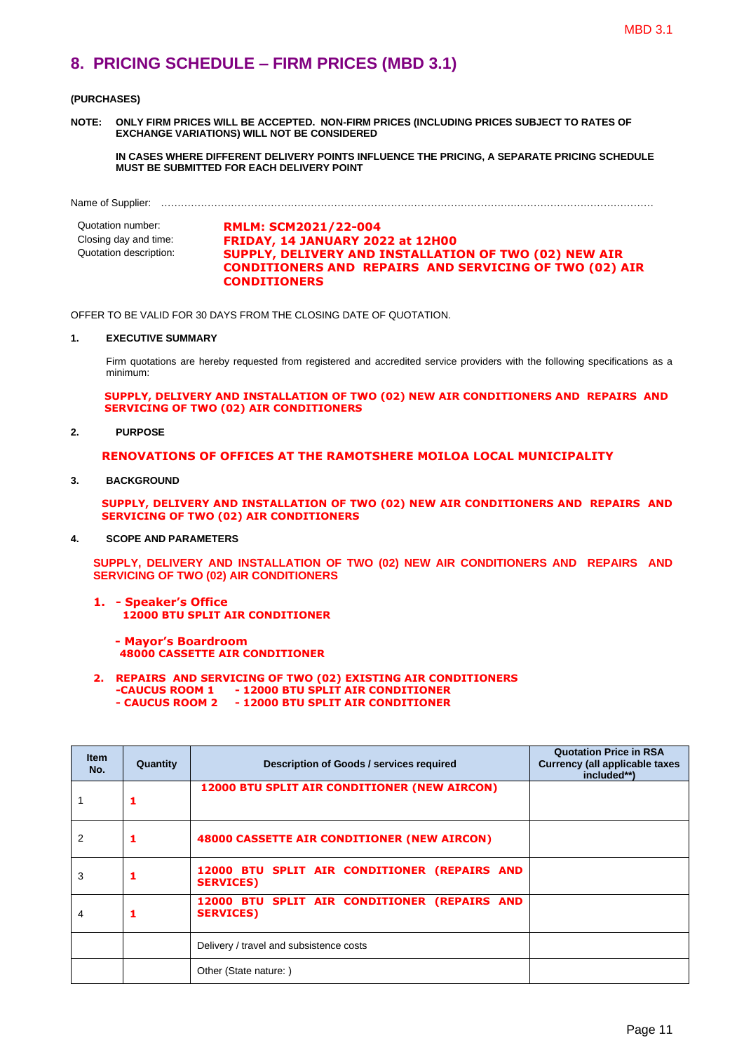### <span id="page-12-0"></span>**8. PRICING SCHEDULE – FIRM PRICES (MBD 3.1)**

#### **(PURCHASES)**

**NOTE: ONLY FIRM PRICES WILL BE ACCEPTED. NON-FIRM PRICES (INCLUDING PRICES SUBJECT TO RATES OF EXCHANGE VARIATIONS) WILL NOT BE CONSIDERED**

**IN CASES WHERE DIFFERENT DELIVERY POINTS INFLUENCE THE PRICING, A SEPARATE PRICING SCHEDULE MUST BE SUBMITTED FOR EACH DELIVERY POINT** 

Name of Supplier: …………………………………………………………………………………………….……………………………………

Quotation number: **RMLM: SCM2021/22-004**<br>Closing day and time: **FRIDAY. 14 JANUARY 20** Closing day and time: **FRIDAY, 14 JANUARY 2022 at 12H00 SUPPLY, DELIVERY AND INSTALLATION OF TWO (02) NEW AIR CONDITIONERS AND REPAIRS AND SERVICING OF TWO (02) AIR CONDITIONERS**

OFFER TO BE VALID FOR 30 DAYS FROM THE CLOSING DATE OF QUOTATION.

#### **1. EXECUTIVE SUMMARY**

Firm quotations are hereby requested from registered and accredited service providers with the following specifications as a minimum:

**SUPPLY, DELIVERY AND INSTALLATION OF TWO (02) NEW AIR CONDITIONERS AND REPAIRS AND SERVICING OF TWO (02) AIR CONDITIONERS** 

**2. PURPOSE**

#### **RENOVATIONS OF OFFICES AT THE RAMOTSHERE MOILOA LOCAL MUNICIPALITY**

**3. BACKGROUND**

**SUPPLY, DELIVERY AND INSTALLATION OF TWO (02) NEW AIR CONDITIONERS AND REPAIRS AND SERVICING OF TWO (02) AIR CONDITIONERS**

**4. SCOPE AND PARAMETERS**

**SUPPLY, DELIVERY AND INSTALLATION OF TWO (02) NEW AIR CONDITIONERS AND REPAIRS AND SERVICING OF TWO (02) AIR CONDITIONERS**

- **1. - Speaker's Office 12000 BTU SPLIT AIR CONDITIONER**
	- **- Mayor's Boardroom 48000 CASSETTE AIR CONDITIONER**
- **2. REPAIRS AND SERVICING OF TWO (02) EXISTING AIR CONDITIONERS -CAUCUS ROOM 1 - 12000 BTU SPLIT AIR CONDITIONER - CAUCUS ROOM 2 - 12000 BTU SPLIT AIR CONDITIONER**

| <b>Item</b><br>No. | Quantity | Description of Goods / services required                         | <b>Quotation Price in RSA</b><br><b>Currency (all applicable taxes)</b><br>included**) |
|--------------------|----------|------------------------------------------------------------------|----------------------------------------------------------------------------------------|
|                    |          | <b>12000 BTU SPLIT AIR CONDITIONER (NEW AIRCON)</b>              |                                                                                        |
| 2                  |          | 48000 CASSETTE AIR CONDITIONER (NEW AIRCON)                      |                                                                                        |
| 3                  |          | 12000 BTU SPLIT AIR CONDITIONER (REPAIRS AND<br><b>SERVICES)</b> |                                                                                        |
| 4                  |          | 12000 BTU SPLIT AIR CONDITIONER (REPAIRS AND<br><b>SERVICES)</b> |                                                                                        |
|                    |          | Delivery / travel and subsistence costs                          |                                                                                        |
|                    |          | Other (State nature: )                                           |                                                                                        |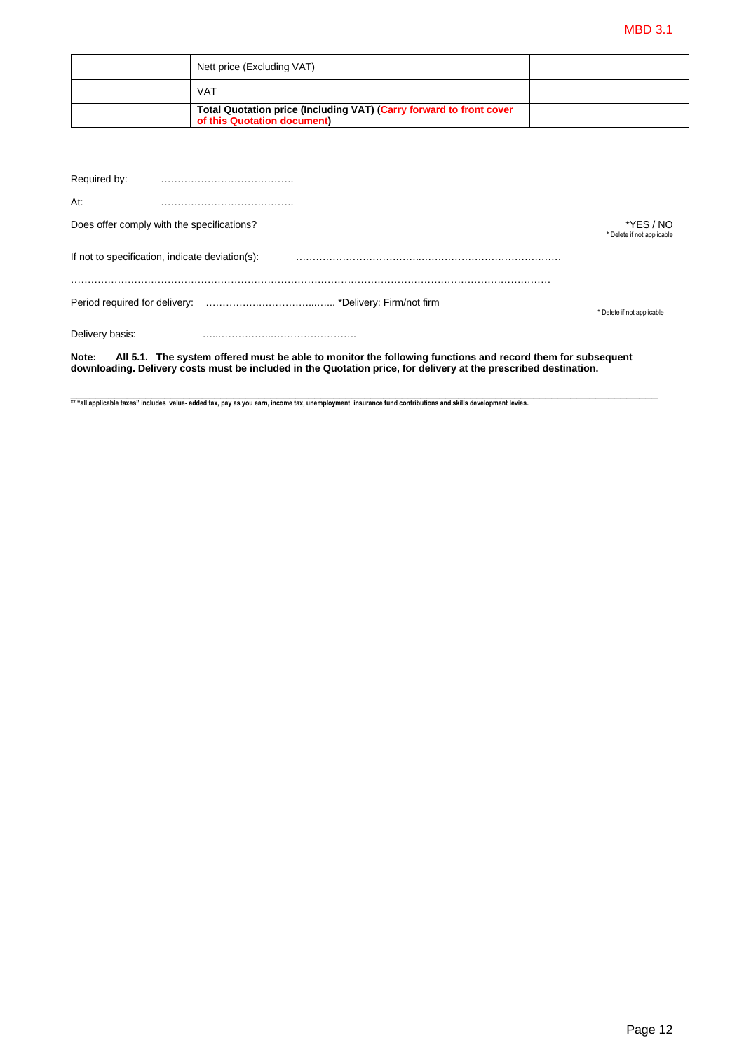|  | Nett price (Excluding VAT)                                                                         |  |
|--|----------------------------------------------------------------------------------------------------|--|
|  | <b>VAT</b>                                                                                         |  |
|  | Total Quotation price (Including VAT) (Carry forward to front cover<br>of this Quotation document) |  |

| Note:           | All 5.1. The system offered must be able to monitor the following functions and record them for subsequent |                                         |
|-----------------|------------------------------------------------------------------------------------------------------------|-----------------------------------------|
| Delivery basis: |                                                                                                            |                                         |
|                 |                                                                                                            | * Delete if not applicable              |
|                 | If not to specification, indicate deviation(s):                                                            |                                         |
|                 | Does offer comply with the specifications?                                                                 | *YES / NO<br>* Delete if not applicable |
| At:             |                                                                                                            |                                         |
| Required by:    |                                                                                                            |                                         |

\*\* "all applicable taxes" includes value- added tax, pay as you earn, income tax, unemployment insurance fund contributions and skills development levies.

**downloading. Delivery costs must be included in the Quotation price, for delivery at the prescribed destination.**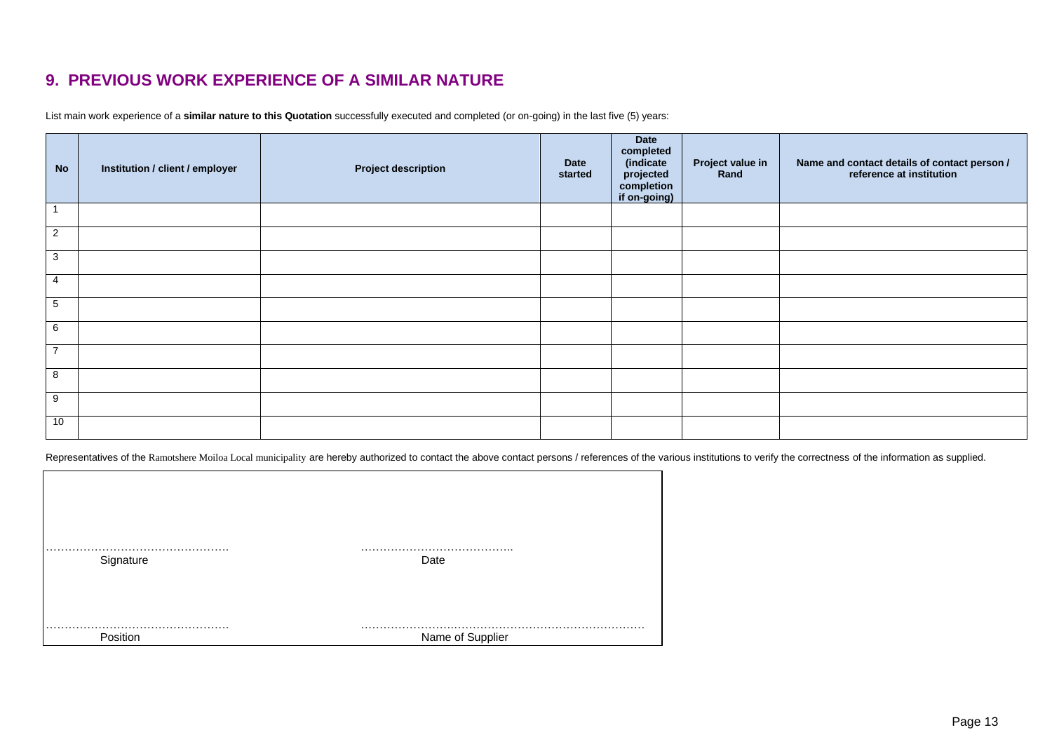### **9. PREVIOUS WORK EXPERIENCE OF A SIMILAR NATURE**

List main work experience of a **similar nature to this Quotation** successfully executed and completed (or on-going) in the last five (5) years:

| <b>No</b>      | Institution / client / employer | <b>Project description</b> | Date<br>started | Date<br>completed<br>(indicate<br>projected<br>completion<br>if on-going) | Project value in<br>Rand | Name and contact details of contact person /<br>reference at institution |
|----------------|---------------------------------|----------------------------|-----------------|---------------------------------------------------------------------------|--------------------------|--------------------------------------------------------------------------|
| $\overline{1}$ |                                 |                            |                 |                                                                           |                          |                                                                          |
| $\overline{2}$ |                                 |                            |                 |                                                                           |                          |                                                                          |
| $\overline{3}$ |                                 |                            |                 |                                                                           |                          |                                                                          |
| $\overline{4}$ |                                 |                            |                 |                                                                           |                          |                                                                          |
| 5              |                                 |                            |                 |                                                                           |                          |                                                                          |
| 6              |                                 |                            |                 |                                                                           |                          |                                                                          |
| $\overline{7}$ |                                 |                            |                 |                                                                           |                          |                                                                          |
| $\overline{8}$ |                                 |                            |                 |                                                                           |                          |                                                                          |
| 9              |                                 |                            |                 |                                                                           |                          |                                                                          |
| 10             |                                 |                            |                 |                                                                           |                          |                                                                          |

<span id="page-14-0"></span>Representatives of the Ramotshere Moiloa Local municipality are hereby authorized to contact the above contact persons / references of the various institutions to verify the correctness of the information as supplied.

| Signature | Date             |
|-----------|------------------|
|           |                  |
| Position  | Name of Supplier |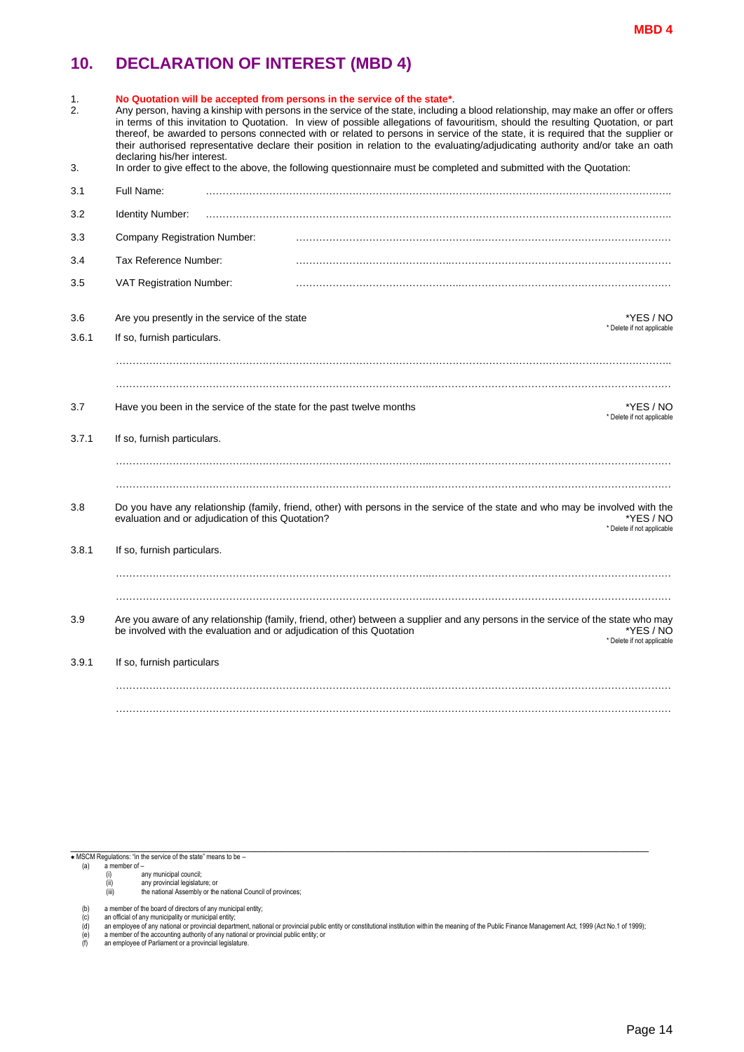### <span id="page-15-0"></span>**10. DECLARATION OF INTEREST (MBD 4)**

| 1.<br>2. | No Quotation will be accepted from persons in the service of the state*.<br>Any person, having a kinship with persons in the service of the state, including a blood relationship, may make an offer or offers<br>in terms of this invitation to Quotation. In view of possible allegations of favouritism, should the resulting Quotation, or part<br>thereof, be awarded to persons connected with or related to persons in service of the state, it is required that the supplier or<br>their authorised representative declare their position in relation to the evaluating/adjudicating authority and/or take an oath<br>declaring his/her interest. |  |  |  |
|----------|-----------------------------------------------------------------------------------------------------------------------------------------------------------------------------------------------------------------------------------------------------------------------------------------------------------------------------------------------------------------------------------------------------------------------------------------------------------------------------------------------------------------------------------------------------------------------------------------------------------------------------------------------------------|--|--|--|
| 3.       | In order to give effect to the above, the following questionnaire must be completed and submitted with the Quotation:                                                                                                                                                                                                                                                                                                                                                                                                                                                                                                                                     |  |  |  |
| 3.1      | Full Name:                                                                                                                                                                                                                                                                                                                                                                                                                                                                                                                                                                                                                                                |  |  |  |
| 3.2      | <b>Identity Number:</b>                                                                                                                                                                                                                                                                                                                                                                                                                                                                                                                                                                                                                                   |  |  |  |
| 3.3      | <b>Company Registration Number:</b>                                                                                                                                                                                                                                                                                                                                                                                                                                                                                                                                                                                                                       |  |  |  |
| 3.4      | Tax Reference Number:                                                                                                                                                                                                                                                                                                                                                                                                                                                                                                                                                                                                                                     |  |  |  |
| 3.5      | VAT Registration Number:                                                                                                                                                                                                                                                                                                                                                                                                                                                                                                                                                                                                                                  |  |  |  |
| 3.6      | Are you presently in the service of the state<br>*YES / NO<br>* Delete if not applicable                                                                                                                                                                                                                                                                                                                                                                                                                                                                                                                                                                  |  |  |  |
| 3.6.1    | If so, furnish particulars.                                                                                                                                                                                                                                                                                                                                                                                                                                                                                                                                                                                                                               |  |  |  |
| 3.7      | Have you been in the service of the state for the past twelve months<br>*YES / NO<br>* Delete if not applicable                                                                                                                                                                                                                                                                                                                                                                                                                                                                                                                                           |  |  |  |
| 3.7.1    | If so, furnish particulars.                                                                                                                                                                                                                                                                                                                                                                                                                                                                                                                                                                                                                               |  |  |  |
| 3.8      | Do you have any relationship (family, friend, other) with persons in the service of the state and who may be involved with the<br>evaluation and or adjudication of this Quotation?<br>*YES / NO<br>* Delete if not applicable                                                                                                                                                                                                                                                                                                                                                                                                                            |  |  |  |
| 3.8.1    | If so, furnish particulars.                                                                                                                                                                                                                                                                                                                                                                                                                                                                                                                                                                                                                               |  |  |  |
| 3.9      | Are you aware of any relationship (family, friend, other) between a supplier and any persons in the service of the state who may<br>be involved with the evaluation and or adjudication of this Quotation<br>*YES / NO<br>* Delete if not applicable                                                                                                                                                                                                                                                                                                                                                                                                      |  |  |  |
| 3.9.1    | If so, furnish particulars                                                                                                                                                                                                                                                                                                                                                                                                                                                                                                                                                                                                                                |  |  |  |
|          |                                                                                                                                                                                                                                                                                                                                                                                                                                                                                                                                                                                                                                                           |  |  |  |

if MSCM Regulations: "in the service of the state" means to be –<br>
(a) a member of –<br>
(i) any municipal council;<br>
(ii) any provincial legislature; or<br>
(iii) the national Assembly or the national Council of provinces;

- 
- 
- 

- (b) a member of the board of directors of any municipal entity;<br>(c) an official of any municipality or municipal entity;<br>(d) an employee of any national or provincial department, national or provincial public entity or con
- (e) a member of the accounting authority of any national or provincial public entity; or (f) an employee of Parliament or a provincial legislature.
-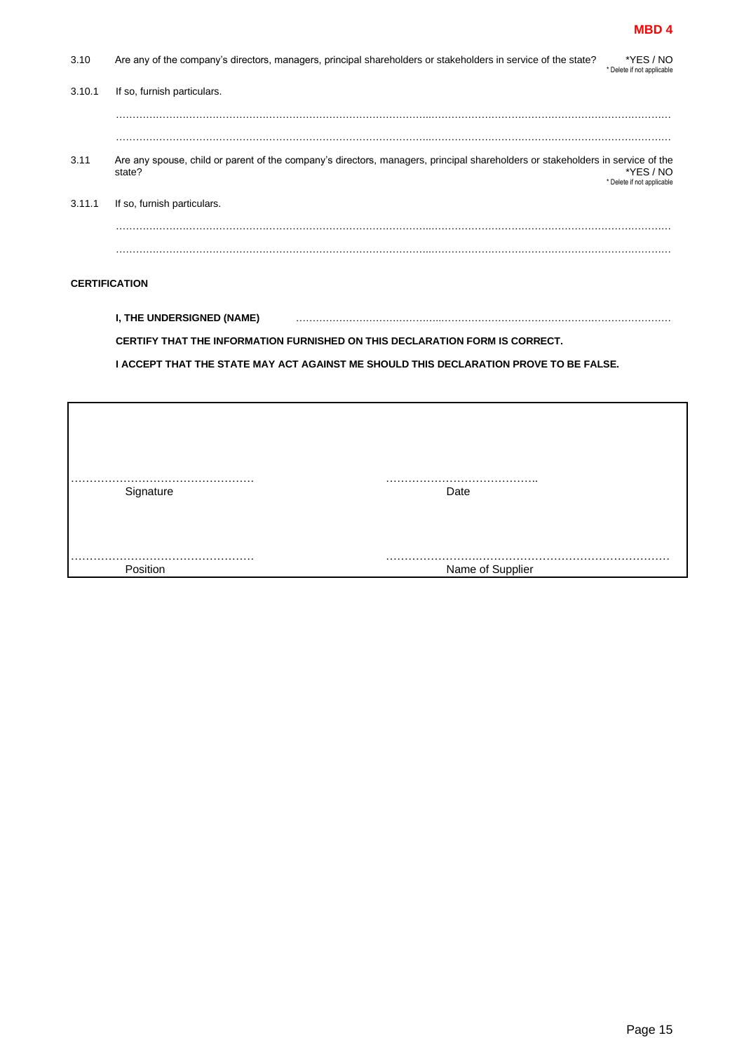#### **MBD 4**

| 3.10                 | Are any of the company's directors, managers, principal shareholders or stakeholders in service of the state?<br>*YES / NO<br>* Delete if not applicable                            |
|----------------------|-------------------------------------------------------------------------------------------------------------------------------------------------------------------------------------|
| 3.10.1               | If so, furnish particulars.                                                                                                                                                         |
|                      |                                                                                                                                                                                     |
|                      |                                                                                                                                                                                     |
| 3.11                 | Are any spouse, child or parent of the company's directors, managers, principal shareholders or stakeholders in service of the<br>*YES / NO<br>state?<br>* Delete if not applicable |
| 3.11.1               | If so, furnish particulars.                                                                                                                                                         |
|                      |                                                                                                                                                                                     |
|                      |                                                                                                                                                                                     |
|                      |                                                                                                                                                                                     |
| <b>CERTIFICATION</b> |                                                                                                                                                                                     |
|                      | I, THE UNDERSIGNED (NAME)                                                                                                                                                           |

**CERTIFY THAT THE INFORMATION FURNISHED ON THIS DECLARATION FORM IS CORRECT.** 

**I ACCEPT THAT THE STATE MAY ACT AGAINST ME SHOULD THIS DECLARATION PROVE TO BE FALSE.** 

| Signature | Date             |
|-----------|------------------|
|           |                  |
| Position  | Name of Supplier |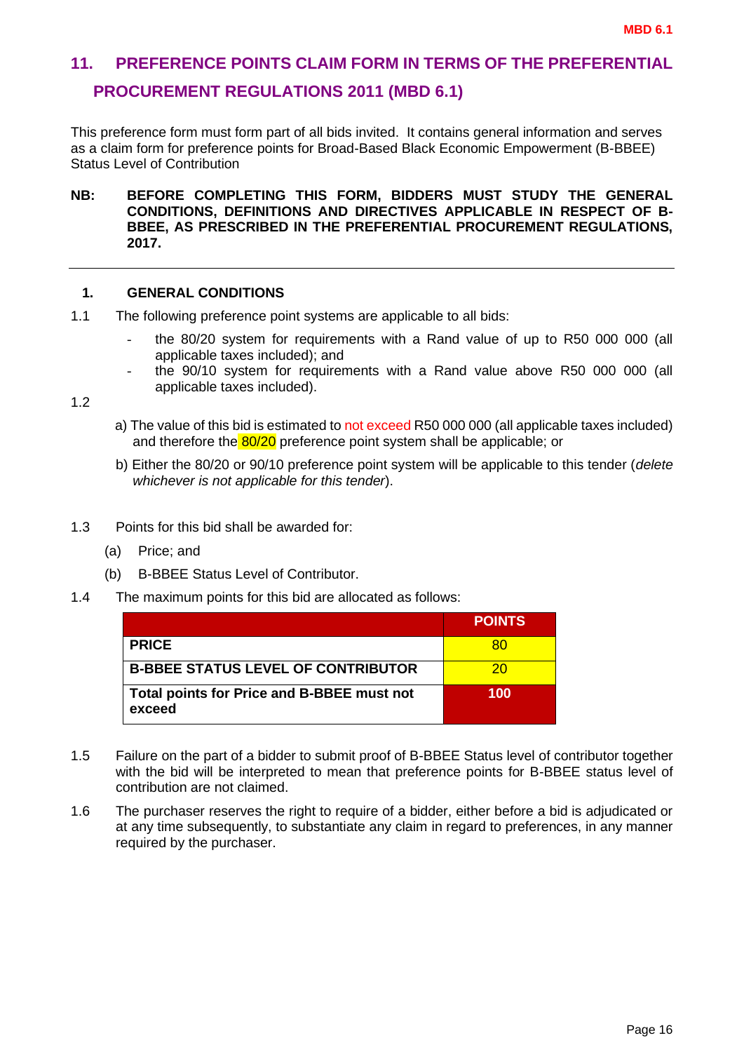# <span id="page-17-0"></span>**11. PREFERENCE POINTS CLAIM FORM IN TERMS OF THE PREFERENTIAL PROCUREMENT REGULATIONS 2011 (MBD 6.1)**

This preference form must form part of all bids invited. It contains general information and serves as a claim form for preference points for Broad-Based Black Economic Empowerment (B-BBEE) Status Level of Contribution

**NB: BEFORE COMPLETING THIS FORM, BIDDERS MUST STUDY THE GENERAL CONDITIONS, DEFINITIONS AND DIRECTIVES APPLICABLE IN RESPECT OF B-BBEE, AS PRESCRIBED IN THE PREFERENTIAL PROCUREMENT REGULATIONS, 2017.** 

#### **1. GENERAL CONDITIONS**

- 1.1 The following preference point systems are applicable to all bids:
	- the 80/20 system for requirements with a Rand value of up to R50 000 000 (all applicable taxes included); and
	- the 90/10 system for requirements with a Rand value above R50 000 000 (all applicable taxes included).

1.2

- a) The value of this bid is estimated to not exceed R50 000 000 (all applicable taxes included) and therefore the 80/20 preference point system shall be applicable; or
- b) Either the 80/20 or 90/10 preference point system will be applicable to this tender (*delete whichever is not applicable for this tender*).
- 1.3 Points for this bid shall be awarded for:
	- (a) Price; and
	- (b) B-BBEE Status Level of Contributor.
- 1.4 The maximum points for this bid are allocated as follows:

|                                                             | <b>POINTS</b> |
|-------------------------------------------------------------|---------------|
| <b>PRICE</b>                                                | 80            |
| <b>B-BBEE STATUS LEVEL OF CONTRIBUTOR</b>                   | 20            |
| <b>Total points for Price and B-BBEE must not</b><br>exceed | 100           |

- 1.5 Failure on the part of a bidder to submit proof of B-BBEE Status level of contributor together with the bid will be interpreted to mean that preference points for B-BBEE status level of contribution are not claimed.
- 1.6 The purchaser reserves the right to require of a bidder, either before a bid is adjudicated or at any time subsequently, to substantiate any claim in regard to preferences, in any manner required by the purchaser.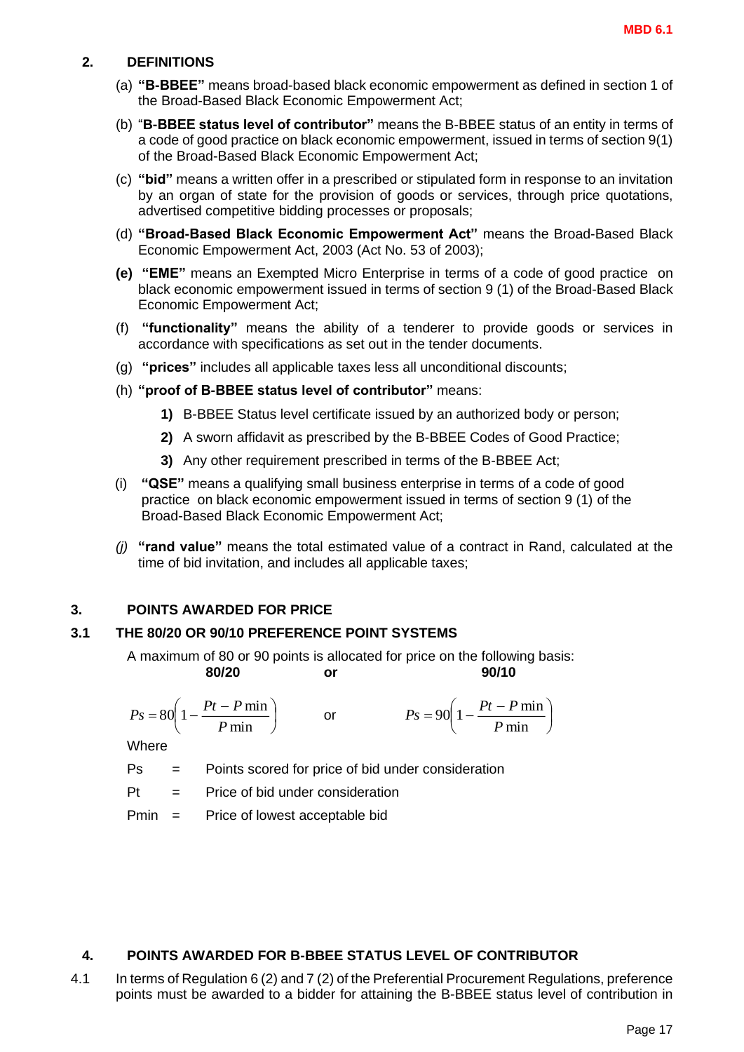#### **2. DEFINITIONS**

- (a) **"B-BBEE"** means broad-based black economic empowerment as defined in section 1 of the Broad-Based Black Economic Empowerment Act;
- (b) "**B-BBEE status level of contributor"** means the B-BBEE status of an entity in terms of a code of good practice on black economic empowerment, issued in terms of section 9(1) of the Broad-Based Black Economic Empowerment Act;
- (c) **"bid"** means a written offer in a prescribed or stipulated form in response to an invitation by an organ of state for the provision of goods or services, through price quotations, advertised competitive bidding processes or proposals;
- (d) **"Broad-Based Black Economic Empowerment Act"** means the Broad-Based Black Economic Empowerment Act, 2003 (Act No. 53 of 2003);
- **(e) "EME"** means an Exempted Micro Enterprise in terms of a code of good practice on black economic empowerment issued in terms of section 9 (1) of the Broad-Based Black Economic Empowerment Act;
- (f) **"functionality"** means the ability of a tenderer to provide goods or services in accordance with specifications as set out in the tender documents.
- (g) **"prices"** includes all applicable taxes less all unconditional discounts;
- (h) **"proof of B-BBEE status level of contributor"** means:
	- **1)** B-BBEE Status level certificate issued by an authorized body or person;
	- **2)** A sworn affidavit as prescribed by the B-BBEE Codes of Good Practice;
	- **3)** Any other requirement prescribed in terms of the B-BBEE Act;
- (i) **"QSE"** means a qualifying small business enterprise in terms of a code of good practice on black economic empowerment issued in terms of section 9 (1) of the Broad-Based Black Economic Empowerment Act;
- *(j)* **"rand value"** means the total estimated value of a contract in Rand, calculated at the time of bid invitation, and includes all applicable taxes;

#### **3. POINTS AWARDED FOR PRICE**

#### **3.1 THE 80/20 OR 90/10 PREFERENCE POINT SYSTEMS**

A maximum of 80 or 90 points is allocated for price on the following basis: **80/20 or 90/10**

$$
Ps = 80\left(1 - \frac{Pt - P \min P}{ \min}\right) \qquad \text{or} \qquad \qquad Ps = 90\left(1 - \frac{Pt - P \min P}{ \min}\right)
$$

**Where** 

Ps = Points scored for price of bid under consideration

 $Pt =$  Price of bid under consideration

Pmin = Price of lowest acceptable bid

#### **4. POINTS AWARDED FOR B-BBEE STATUS LEVEL OF CONTRIBUTOR**

4.1 In terms of Regulation 6 (2) and 7 (2) of the Preferential Procurement Regulations, preference  $ps = 80(1 - \frac{200 \text{ m}}{P \text{ min}})$  or  $Ps = 90(1 - \frac{200 \text{ m}}{P \text{ min}})$ <br>
Where<br>
Ps = Points scored for price of bid under consideration<br>
Pf = Price of bid under consideration<br>
Pmin = Price of lowest acceptable bid<br>
POINTS AWARDED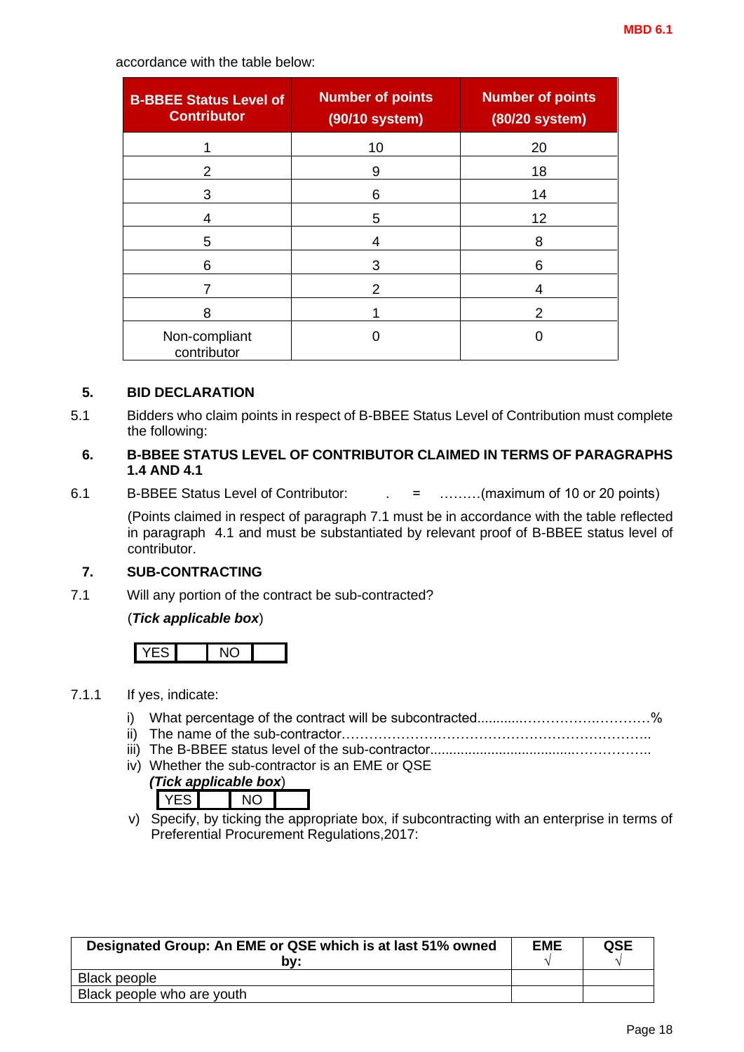accordance with the table below:

| <b>B-BBEE Status Level of</b><br><b>Contributor</b> | <b>Number of points</b><br>(90/10 system) | <b>Number of points</b><br>(80/20 system) |  |
|-----------------------------------------------------|-------------------------------------------|-------------------------------------------|--|
|                                                     | 10                                        | 20                                        |  |
| 2                                                   | 9                                         | 18                                        |  |
| 3                                                   | 6                                         | 14                                        |  |
| 4                                                   | 5                                         | 12                                        |  |
| 5                                                   | 4                                         | 8                                         |  |
| 6                                                   | 3                                         | 6                                         |  |
|                                                     | 2                                         | 4                                         |  |
| 8                                                   |                                           | 2                                         |  |
| Non-compliant<br>contributor                        |                                           |                                           |  |

#### **5. BID DECLARATION**

5.1 Bidders who claim points in respect of B-BBEE Status Level of Contribution must complete the following:

#### **6. B-BBEE STATUS LEVEL OF CONTRIBUTOR CLAIMED IN TERMS OF PARAGRAPHS 1.4 AND 4.1**

6.1 B-BBEE Status Level of Contributor: . = ………(maximum of 10 or 20 points)

(Points claimed in respect of paragraph 7.1 must be in accordance with the table reflected in paragraph 4.1 and must be substantiated by relevant proof of B-BBEE status level of contributor.

#### **7. SUB-CONTRACTING**

7.1 Will any portion of the contract be sub-contracted?

#### (*Tick applicable box*)

|--|

#### 7.1.1 If yes, indicate:

- i) What percentage of the contract will be subcontracted............…………….…………%
- ii) The name of the sub-contractor…………………………………………………………..
- iii) The B-BBEE status level of the sub-contractor......................................……………..
- iv) Whether the sub-contractor is an EME or QSE

|  | (Tick applicable box) |  |  |
|--|-----------------------|--|--|
|  |                       |  |  |

v) Specify, by ticking the appropriate box, if subcontracting with an enterprise in terms of Preferential Procurement Regulations,2017:

| Designated Group: An EME or QSE which is at last 51% owned<br>bv: | <b>EME</b> | <b>QSE</b> |
|-------------------------------------------------------------------|------------|------------|
| Black people                                                      |            |            |
| Black people who are youth                                        |            |            |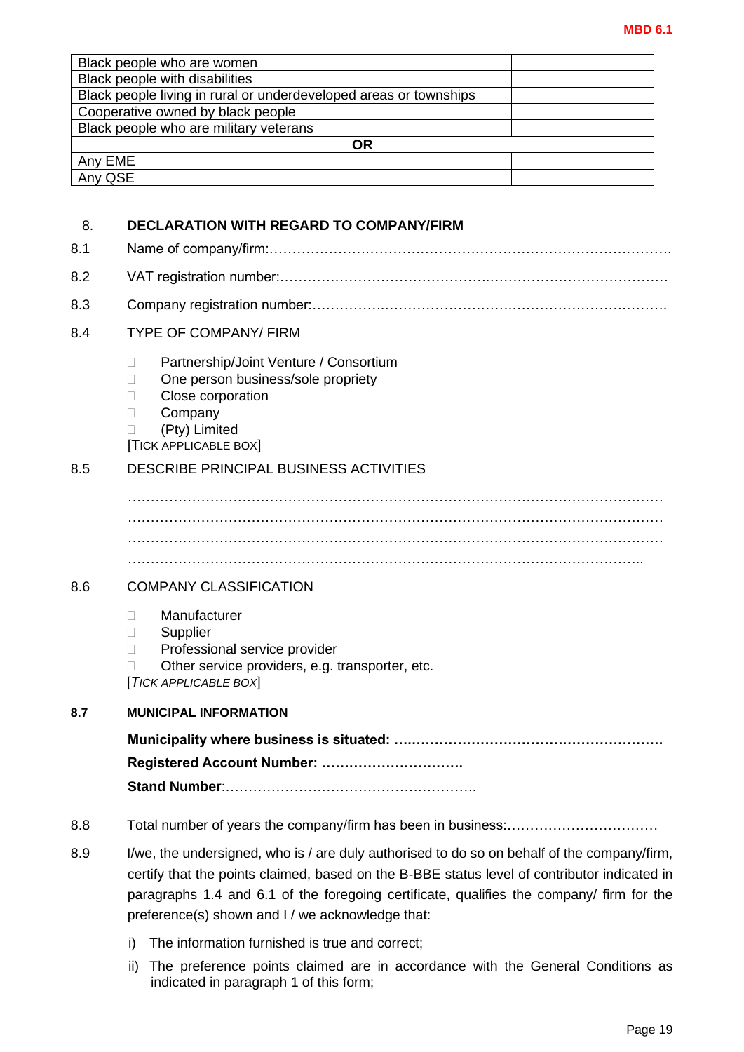|                    | Black people who are women                                                                          |  |  |
|--------------------|-----------------------------------------------------------------------------------------------------|--|--|
|                    | Black people with disabilities<br>Black people living in rural or underdeveloped areas or townships |  |  |
|                    | Cooperative owned by black people                                                                   |  |  |
|                    | Black people who are military veterans                                                              |  |  |
|                    | <b>OR</b>                                                                                           |  |  |
| Any EME<br>Any QSE |                                                                                                     |  |  |
|                    |                                                                                                     |  |  |
| 8.                 | <b>DECLARATION WITH REGARD TO COMPANY/FIRM</b>                                                      |  |  |
|                    |                                                                                                     |  |  |
| 8.1                |                                                                                                     |  |  |
| 8.2                |                                                                                                     |  |  |
| 8.3                |                                                                                                     |  |  |
| 8.4                | <b>TYPE OF COMPANY/ FIRM</b>                                                                        |  |  |
|                    | Partnership/Joint Venture / Consortium<br>П                                                         |  |  |
|                    | One person business/sole propriety                                                                  |  |  |
|                    | Close corporation<br>$\Box$                                                                         |  |  |
|                    | Company<br>(Pty) Limited<br>П                                                                       |  |  |
|                    | <b>[TICK APPLICABLE BOX]</b>                                                                        |  |  |
| 8.5                | <b>DESCRIBE PRINCIPAL BUSINESS ACTIVITIES</b>                                                       |  |  |
|                    |                                                                                                     |  |  |
|                    |                                                                                                     |  |  |
|                    |                                                                                                     |  |  |
|                    |                                                                                                     |  |  |
|                    |                                                                                                     |  |  |
| 8.6                | <b>COMPANY CLASSIFICATION</b>                                                                       |  |  |
|                    |                                                                                                     |  |  |
|                    | Manufacturer<br>П<br>Supplier<br>□                                                                  |  |  |
|                    | Professional service provider<br>П                                                                  |  |  |
|                    | Other service providers, e.g. transporter, etc.<br>П                                                |  |  |
|                    | [TICK APPLICABLE BOX]                                                                               |  |  |
| 8.7                | <b>MUNICIPAL INFORMATION</b>                                                                        |  |  |
|                    |                                                                                                     |  |  |
|                    | Registered Account Number:                                                                          |  |  |
|                    |                                                                                                     |  |  |
| 8.8                |                                                                                                     |  |  |
|                    |                                                                                                     |  |  |
| 8.9                | I/we, the undersigned, who is / are duly authorised to do so on behalf of the company/firm,         |  |  |
|                    | certify that the points claimed, based on the B-BBE status level of contributor indicated in        |  |  |
|                    | paragraphs 1.4 and 6.1 of the foregoing certificate, qualifies the company/ firm for the            |  |  |
|                    | preference(s) shown and I / we acknowledge that:                                                    |  |  |
|                    | The information furnished is true and correct;<br>i)                                                |  |  |
|                    | The preference points claimed are in accordance with the General Conditions as<br>ii)               |  |  |
|                    | indicated in paragraph 1 of this form;                                                              |  |  |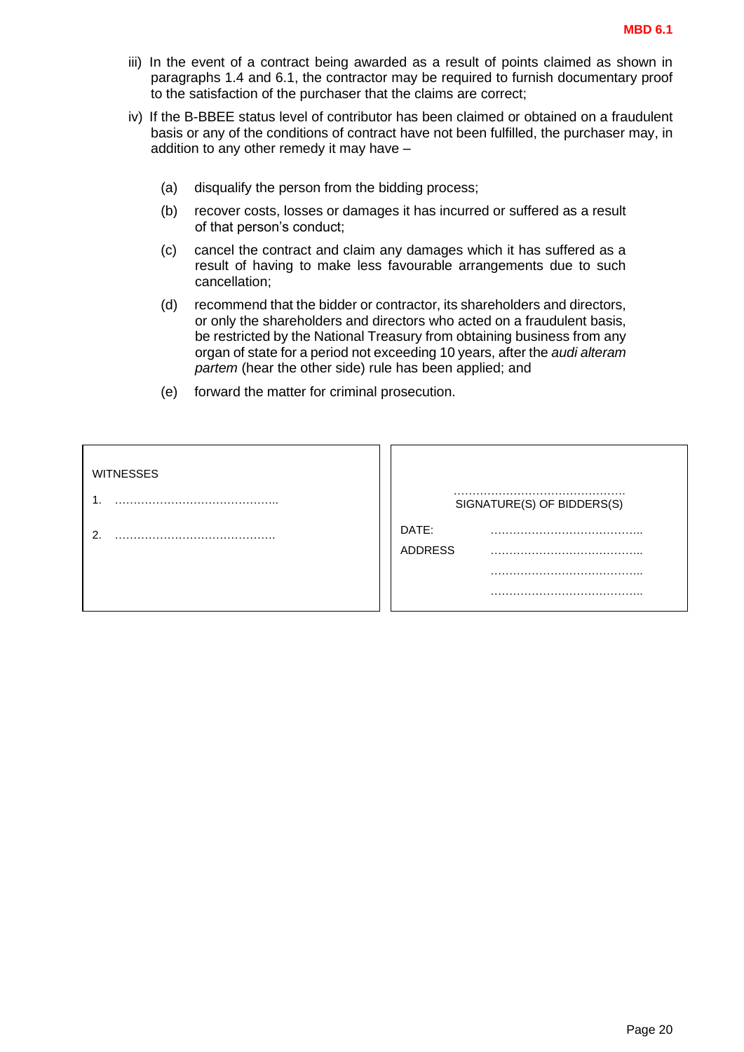- iii) In the event of a contract being awarded as a result of points claimed as shown in paragraphs 1.4 and 6.1, the contractor may be required to furnish documentary proof to the satisfaction of the purchaser that the claims are correct;
- iv) If the B-BBEE status level of contributor has been claimed or obtained on a fraudulent basis or any of the conditions of contract have not been fulfilled, the purchaser may, in addition to any other remedy it may have –
	- (a) disqualify the person from the bidding process;
	- (b) recover costs, losses or damages it has incurred or suffered as a result of that person's conduct;
	- (c) cancel the contract and claim any damages which it has suffered as a result of having to make less favourable arrangements due to such cancellation;
	- (d) recommend that the bidder or contractor, its shareholders and directors, or only the shareholders and directors who acted on a fraudulent basis, be restricted by the National Treasury from obtaining business from any organ of state for a period not exceeding 10 years, after the *audi alteram partem* (hear the other side) rule has been applied; and
	- (e) forward the matter for criminal prosecution.

| <b>WITNESSES</b> |                            |
|------------------|----------------------------|
|                  | SIGNATURE(S) OF BIDDERS(S) |
| ◠                | DATE:                      |
|                  | <b>ADDRESS</b>             |
|                  |                            |
|                  |                            |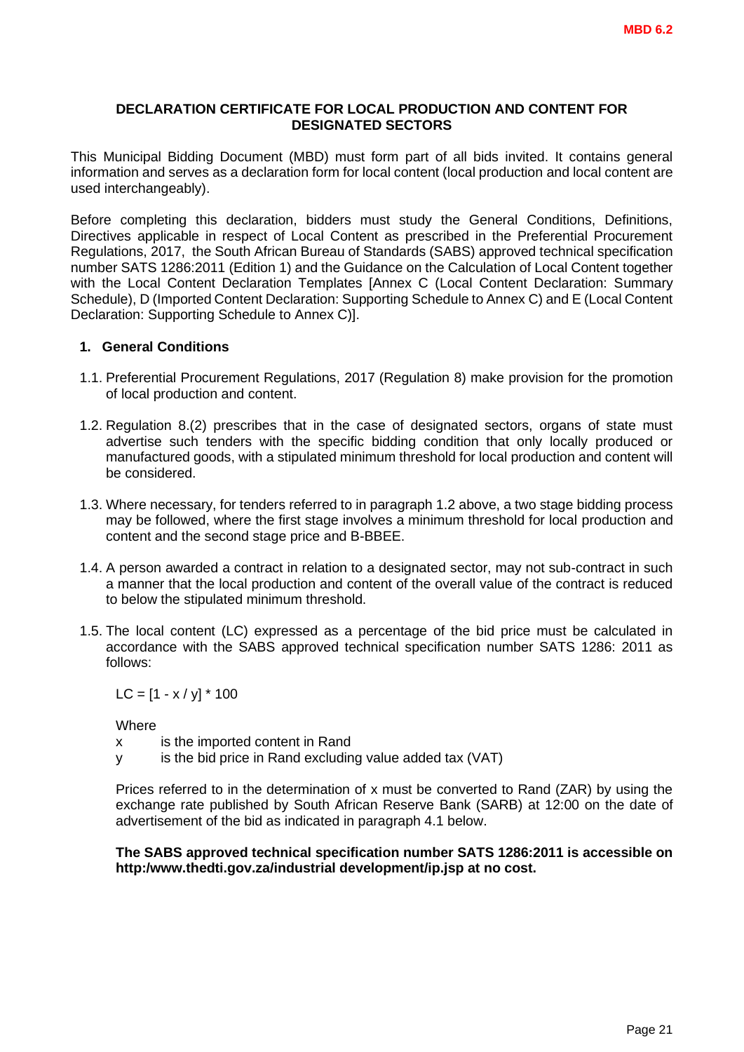#### **DECLARATION CERTIFICATE FOR LOCAL PRODUCTION AND CONTENT FOR DESIGNATED SECTORS**

This Municipal Bidding Document (MBD) must form part of all bids invited. It contains general information and serves as a declaration form for local content (local production and local content are used interchangeably).

Before completing this declaration, bidders must study the General Conditions, Definitions, Directives applicable in respect of Local Content as prescribed in the Preferential Procurement Regulations, 2017, the South African Bureau of Standards (SABS) approved technical specification number SATS 1286:2011 (Edition 1) and the Guidance on the Calculation of Local Content together with the Local Content Declaration Templates [Annex C (Local Content Declaration: Summary Schedule), D (Imported Content Declaration: Supporting Schedule to Annex C) and E (Local Content Declaration: Supporting Schedule to Annex C)].

#### **1. General Conditions**

- 1.1. Preferential Procurement Regulations, 2017 (Regulation 8) make provision for the promotion of local production and content.
- 1.2. Regulation 8.(2) prescribes that in the case of designated sectors, organs of state must advertise such tenders with the specific bidding condition that only locally produced or manufactured goods, with a stipulated minimum threshold for local production and content will be considered.
- 1.3. Where necessary, for tenders referred to in paragraph 1.2 above, a two stage bidding process may be followed, where the first stage involves a minimum threshold for local production and content and the second stage price and B-BBEE.
- 1.4. A person awarded a contract in relation to a designated sector, may not sub-contract in such a manner that the local production and content of the overall value of the contract is reduced to below the stipulated minimum threshold.
- 1.5. The local content (LC) expressed as a percentage of the bid price must be calculated in accordance with the SABS approved technical specification number SATS 1286: 2011 as follows:

 $LC = [1 - x / y] * 100$ 

**Where** 

x is the imported content in Rand

y is the bid price in Rand excluding value added tax (VAT)

Prices referred to in the determination of x must be converted to Rand (ZAR) by using the exchange rate published by South African Reserve Bank (SARB) at 12:00 on the date of advertisement of the bid as indicated in paragraph 4.1 below.

#### **The SABS approved technical specification number SATS 1286:2011 is accessible on http:/www.thedti.gov.za/industrial development/ip.jsp at no cost.**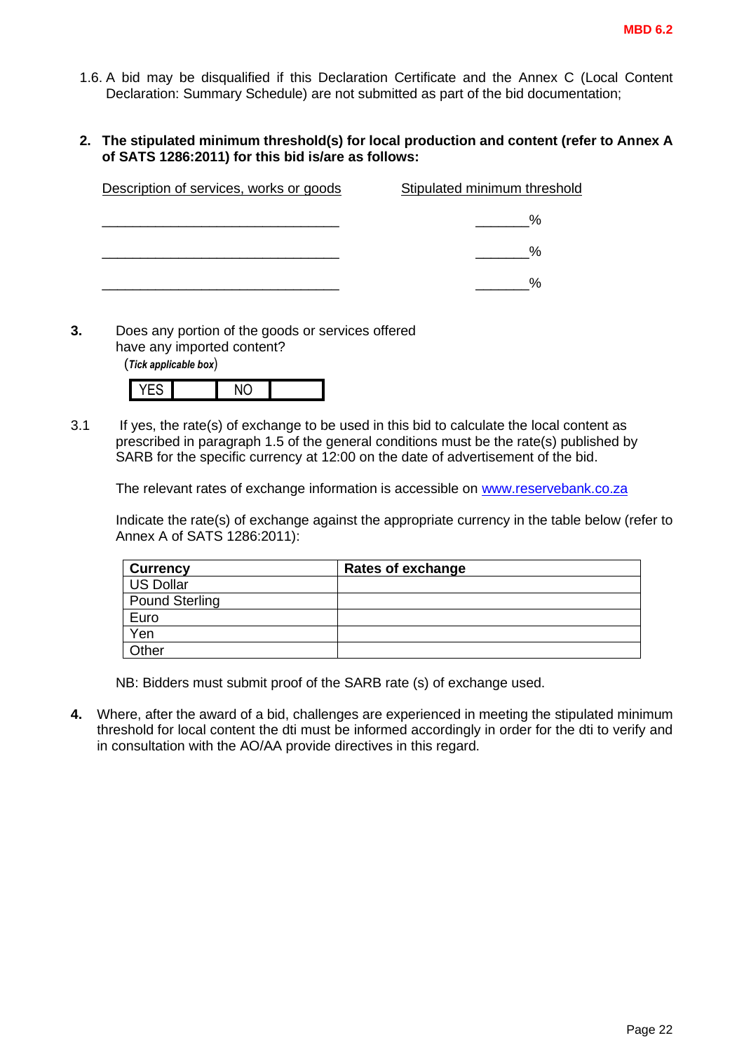- 1.6. A bid may be disqualified if this Declaration Certificate and the Annex C (Local Content Declaration: Summary Schedule) are not submitted as part of the bid documentation;
- **2. The stipulated minimum threshold(s) for local production and content (refer to Annex A of SATS 1286:2011) for this bid is/are as follows:**

| Description of services, works or goods | Stipulated minimum threshold |
|-----------------------------------------|------------------------------|
|                                         | %                            |
|                                         | %                            |
|                                         | $\%$                         |

**3.** Does any portion of the goods or services offered have any imported content?

(*Tick applicable box*)

3.1 If yes, the rate(s) of exchange to be used in this bid to calculate the local content as prescribed in paragraph 1.5 of the general conditions must be the rate(s) published by SARB for the specific currency at 12:00 on the date of advertisement of the bid.

The relevant rates of exchange information is accessible on [www.reservebank.co.za](http://www.reservebank.co.za/)

Indicate the rate(s) of exchange against the appropriate currency in the table below (refer to Annex A of SATS 1286:2011):

| <b>Currency</b>       | <b>Rates of exchange</b> |
|-----------------------|--------------------------|
| <b>US Dollar</b>      |                          |
| <b>Pound Sterling</b> |                          |
| Euro                  |                          |
| Yen                   |                          |
| Other                 |                          |

NB: Bidders must submit proof of the SARB rate (s) of exchange used.

**4.** Where, after the award of a bid, challenges are experienced in meeting the stipulated minimum threshold for local content the dti must be informed accordingly in order for the dti to verify and in consultation with the AO/AA provide directives in this regard.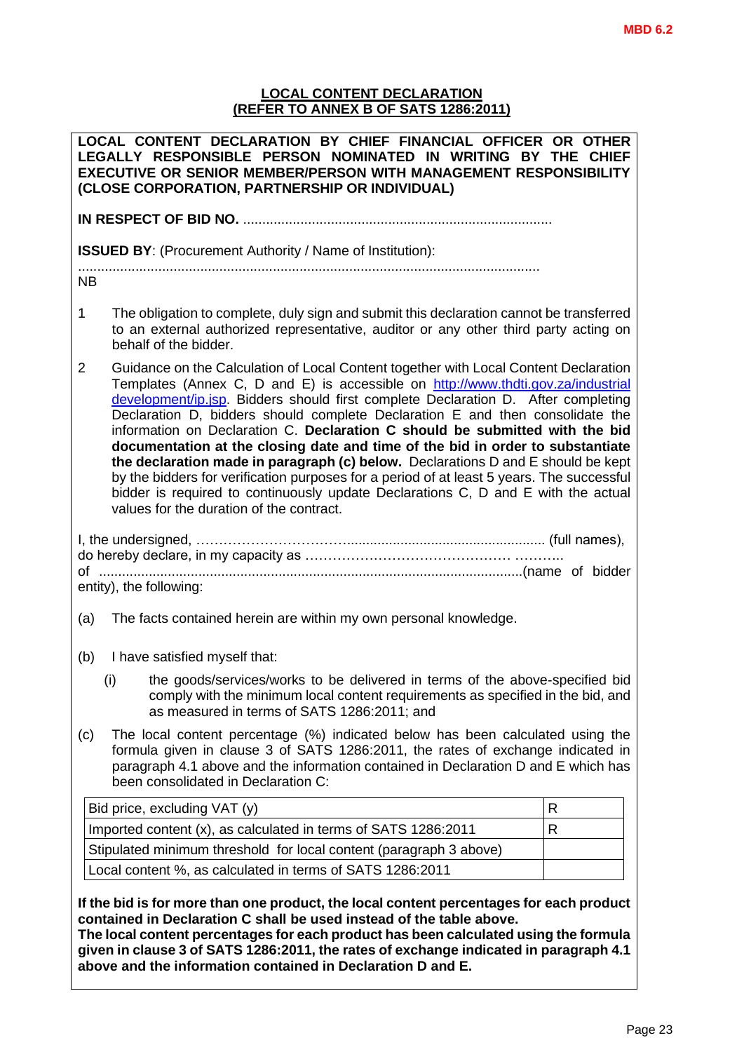#### **LOCAL CONTENT DECLARATION (REFER TO ANNEX B OF SATS 1286:2011)**

| LOCAL CONTENT DECLARATION BY CHIEF FINANCIAL OFFICER OR OTHER<br>LEGALLY RESPONSIBLE PERSON NOMINATED IN WRITING BY THE CHIEF<br><b>EXECUTIVE OR SENIOR MEMBER/PERSON WITH MANAGEMENT RESPONSIBILITY</b><br>(CLOSE CORPORATION, PARTNERSHIP OR INDIVIDUAL)                                                                                                                                                                                                                                                                                                                                                                                                                                                                                                                                                                              |              |  |  |
|-----------------------------------------------------------------------------------------------------------------------------------------------------------------------------------------------------------------------------------------------------------------------------------------------------------------------------------------------------------------------------------------------------------------------------------------------------------------------------------------------------------------------------------------------------------------------------------------------------------------------------------------------------------------------------------------------------------------------------------------------------------------------------------------------------------------------------------------|--------------|--|--|
|                                                                                                                                                                                                                                                                                                                                                                                                                                                                                                                                                                                                                                                                                                                                                                                                                                         |              |  |  |
| <b>ISSUED BY:</b> (Procurement Authority / Name of Institution):                                                                                                                                                                                                                                                                                                                                                                                                                                                                                                                                                                                                                                                                                                                                                                        |              |  |  |
| <b>NB</b>                                                                                                                                                                                                                                                                                                                                                                                                                                                                                                                                                                                                                                                                                                                                                                                                                               |              |  |  |
| The obligation to complete, duly sign and submit this declaration cannot be transferred<br>1<br>to an external authorized representative, auditor or any other third party acting on<br>behalf of the bidder.                                                                                                                                                                                                                                                                                                                                                                                                                                                                                                                                                                                                                           |              |  |  |
| Guidance on the Calculation of Local Content together with Local Content Declaration<br>2<br>Templates (Annex C, D and E) is accessible on http://www.thdti.gov.za/industrial<br>development/ip.jsp. Bidders should first complete Declaration D. After completing<br>Declaration D, bidders should complete Declaration E and then consolidate the<br>information on Declaration C. Declaration C should be submitted with the bid<br>documentation at the closing date and time of the bid in order to substantiate<br>the declaration made in paragraph (c) below. Declarations D and E should be kept<br>by the bidders for verification purposes for a period of at least 5 years. The successful<br>bidder is required to continuously update Declarations C, D and E with the actual<br>values for the duration of the contract. |              |  |  |
| entity), the following:                                                                                                                                                                                                                                                                                                                                                                                                                                                                                                                                                                                                                                                                                                                                                                                                                 |              |  |  |
| The facts contained herein are within my own personal knowledge.<br>(a)                                                                                                                                                                                                                                                                                                                                                                                                                                                                                                                                                                                                                                                                                                                                                                 |              |  |  |
| (b)<br>I have satisfied myself that:                                                                                                                                                                                                                                                                                                                                                                                                                                                                                                                                                                                                                                                                                                                                                                                                    |              |  |  |
| (i)<br>the goods/services/works to be delivered in terms of the above-specified bid<br>comply with the minimum local content requirements as specified in the bid, and<br>as measured in terms of SATS 1286:2011; and                                                                                                                                                                                                                                                                                                                                                                                                                                                                                                                                                                                                                   |              |  |  |
| The local content percentage (%) indicated below has been calculated using the<br>(c)<br>formula given in clause 3 of SATS 1286:2011, the rates of exchange indicated in<br>paragraph 4.1 above and the information contained in Declaration D and E which has<br>been consolidated in Declaration C:                                                                                                                                                                                                                                                                                                                                                                                                                                                                                                                                   |              |  |  |
| Bid price, excluding VAT (y)                                                                                                                                                                                                                                                                                                                                                                                                                                                                                                                                                                                                                                                                                                                                                                                                            | R            |  |  |
| Imported content (x), as calculated in terms of SATS 1286:2011                                                                                                                                                                                                                                                                                                                                                                                                                                                                                                                                                                                                                                                                                                                                                                          | $\mathsf{R}$ |  |  |
| Stipulated minimum threshold for local content (paragraph 3 above)                                                                                                                                                                                                                                                                                                                                                                                                                                                                                                                                                                                                                                                                                                                                                                      |              |  |  |
| Local content %, as calculated in terms of SATS 1286:2011                                                                                                                                                                                                                                                                                                                                                                                                                                                                                                                                                                                                                                                                                                                                                                               |              |  |  |
| If the bid is for more than one product, the local content percentages for each product<br>contained in Declaration C shall be used instead of the table above.<br>The local content percentages for each product has been calculated using the formula<br>given in clause 3 of SATS 1286:2011, the rates of exchange indicated in paragraph 4.1<br>above and the information contained in Declaration D and E.                                                                                                                                                                                                                                                                                                                                                                                                                         |              |  |  |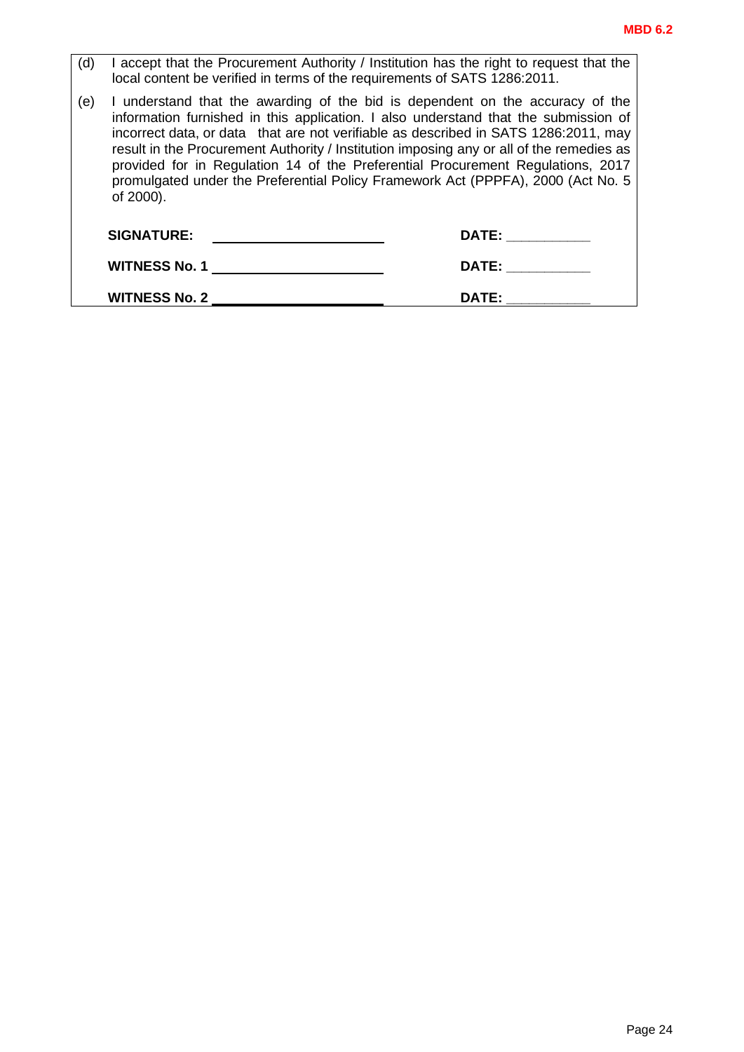$\overline{\phantom{0}}$ 

| (d) | I accept that the Procurement Authority / Institution has the right to request that the<br>local content be verified in terms of the requirements of SATS 1286:2011.                                                                                                                                                                                                                                                                                                                                                                        |              |  |
|-----|---------------------------------------------------------------------------------------------------------------------------------------------------------------------------------------------------------------------------------------------------------------------------------------------------------------------------------------------------------------------------------------------------------------------------------------------------------------------------------------------------------------------------------------------|--------------|--|
| (e) | I understand that the awarding of the bid is dependent on the accuracy of the<br>information furnished in this application. I also understand that the submission of<br>incorrect data, or data that are not verifiable as described in SATS 1286:2011, may<br>result in the Procurement Authority / Institution imposing any or all of the remedies as<br>provided for in Regulation 14 of the Preferential Procurement Regulations, 2017<br>promulgated under the Preferential Policy Framework Act (PPPFA), 2000 (Act No. 5<br>of 2000). |              |  |
|     | <b>SIGNATURE:</b>                                                                                                                                                                                                                                                                                                                                                                                                                                                                                                                           | <b>DATE:</b> |  |
|     | <b>WITNESS No. 1</b>                                                                                                                                                                                                                                                                                                                                                                                                                                                                                                                        | <b>DATE:</b> |  |
|     | <b>WITNESS No. 2</b>                                                                                                                                                                                                                                                                                                                                                                                                                                                                                                                        | DATE:        |  |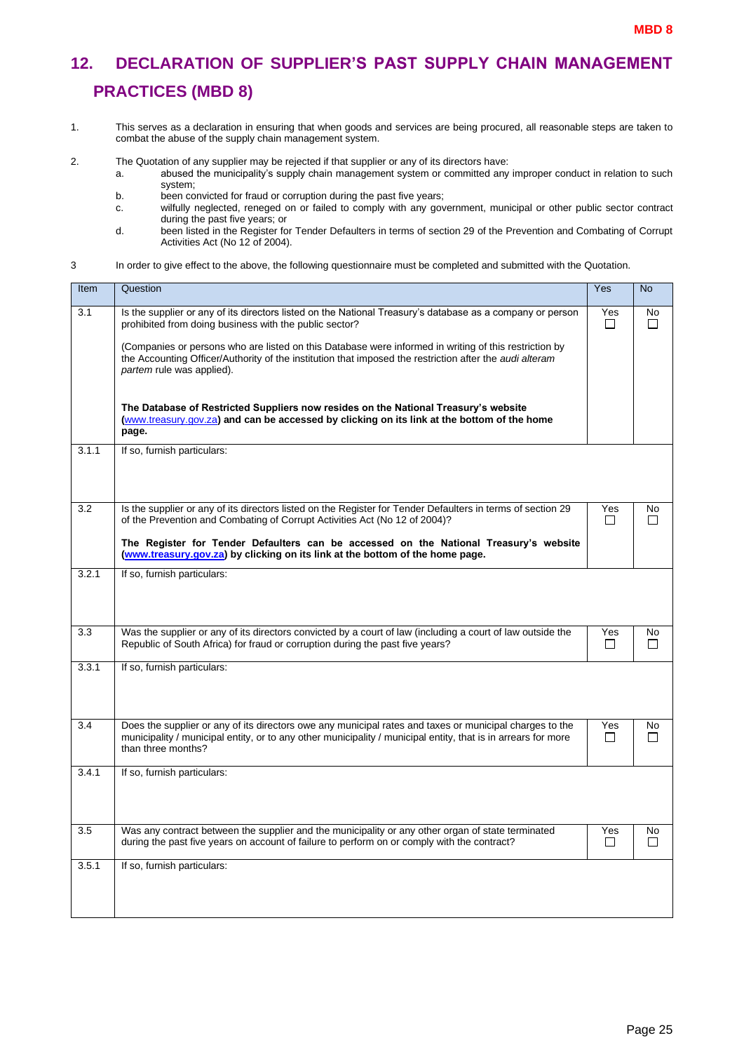# <span id="page-26-0"></span>**12. DECLARATION OF SUPPLIER'S PAST SUPPLY CHAIN MANAGEMENT PRACTICES (MBD 8)**

1. This serves as a declaration in ensuring that when goods and services are being procured, all reasonable steps are taken to combat the abuse of the supply chain management system.

2. The Quotation of any supplier may be rejected if that supplier or any of its directors have:

- a. abused the municipality's supply chain management system or committed any improper conduct in relation to such system;
	- b. been convicted for fraud or corruption during the past five years;
	- c. wilfully neglected, reneged on or failed to comply with any government, municipal or other public sector contract during the past five years; or
	- d. been listed in the Register for Tender Defaulters in terms of section 29 of the Prevention and Combating of Corrupt Activities Act (No 12 of 2004).
- 3 In order to give effect to the above, the following questionnaire must be completed and submitted with the Quotation.

| Item  | Question                                                                                                                                                                                                                                             | Yes            | <b>No</b>           |
|-------|------------------------------------------------------------------------------------------------------------------------------------------------------------------------------------------------------------------------------------------------------|----------------|---------------------|
| 3.1   | Is the supplier or any of its directors listed on the National Treasury's database as a company or person<br>prohibited from doing business with the public sector?                                                                                  | Yes<br>$\Box$  | <b>No</b><br>$\Box$ |
|       | (Companies or persons who are listed on this Database were informed in writing of this restriction by<br>the Accounting Officer/Authority of the institution that imposed the restriction after the <i>audi alteram</i><br>partem rule was applied). |                |                     |
|       | The Database of Restricted Suppliers now resides on the National Treasury's website<br>(www.treasury.gov.za) and can be accessed by clicking on its link at the bottom of the home<br>page.                                                          |                |                     |
| 3.1.1 | If so, furnish particulars:                                                                                                                                                                                                                          |                |                     |
| 3.2   | Is the supplier or any of its directors listed on the Register for Tender Defaulters in terms of section 29<br>of the Prevention and Combating of Corrupt Activities Act (No 12 of 2004)?                                                            | Yes<br>$\perp$ | No<br>$\Box$        |
|       | The Register for Tender Defaulters can be accessed on the National Treasury's website<br>(www.treasury.gov.za) by clicking on its link at the bottom of the home page.                                                                               |                |                     |
| 3.2.1 | If so, furnish particulars:                                                                                                                                                                                                                          |                |                     |
| 3.3   | Was the supplier or any of its directors convicted by a court of law (including a court of law outside the<br>Republic of South Africa) for fraud or corruption during the past five years?                                                          | Yes<br>$\Box$  | No<br>$\Box$        |
| 3.3.1 | If so, furnish particulars:                                                                                                                                                                                                                          |                |                     |
| 3.4   | Does the supplier or any of its directors owe any municipal rates and taxes or municipal charges to the<br>municipality / municipal entity, or to any other municipality / municipal entity, that is in arrears for more<br>than three months?       | Yes<br>П       | No<br>П             |
| 3.4.1 | If so, furnish particulars:                                                                                                                                                                                                                          |                |                     |
| 3.5   | Was any contract between the supplier and the municipality or any other organ of state terminated<br>during the past five years on account of failure to perform on or comply with the contract?                                                     | Yes<br>$\Box$  | No<br>П             |
| 3.5.1 | If so, furnish particulars:                                                                                                                                                                                                                          |                |                     |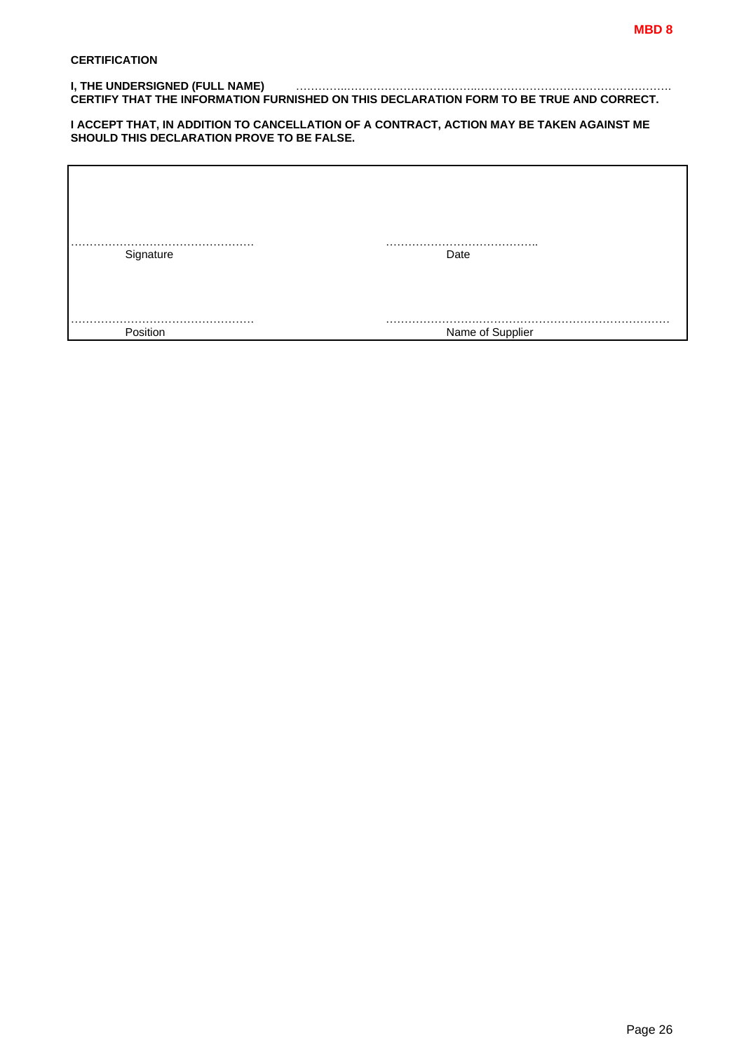#### **I, THE UNDERSIGNED (FULL NAME)** …………..……………………………..……………………………………………. **CERTIFY THAT THE INFORMATION FURNISHED ON THIS DECLARATION FORM TO BE TRUE AND CORRECT.**

#### **I ACCEPT THAT, IN ADDITION TO CANCELLATION OF A CONTRACT, ACTION MAY BE TAKEN AGAINST ME SHOULD THIS DECLARATION PROVE TO BE FALSE.**

| Signature | Date             |
|-----------|------------------|
|           |                  |
|           |                  |
|           |                  |
| Position  | Name of Supplier |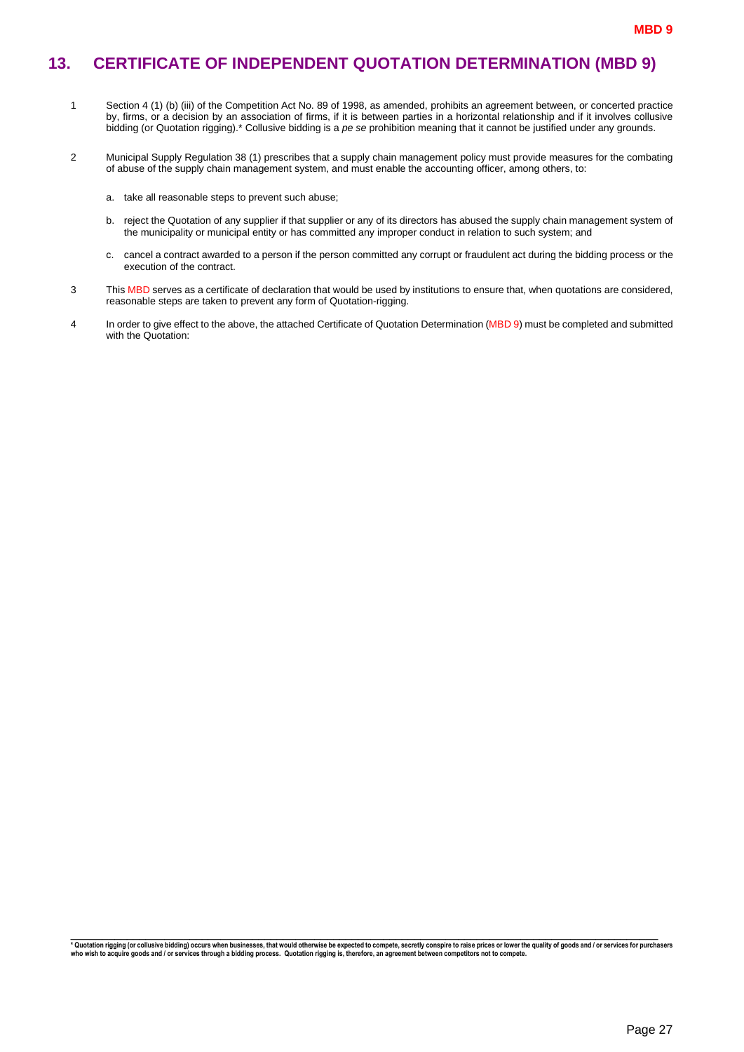### <span id="page-28-0"></span>**13. CERTIFICATE OF INDEPENDENT QUOTATION DETERMINATION (MBD 9)**

- 1 Section 4 (1) (b) (iii) of the Competition Act No. 89 of 1998, as amended, prohibits an agreement between, or concerted practice by, firms, or a decision by an association of firms, if it is between parties in a horizontal relationship and if it involves collusive bidding (or Quotation rigging).\* Collusive bidding is a *pe se* prohibition meaning that it cannot be justified under any grounds.
- 2 Municipal Supply Regulation 38 (1) prescribes that a supply chain management policy must provide measures for the combating of abuse of the supply chain management system, and must enable the accounting officer, among others, to:
	- a. take all reasonable steps to prevent such abuse;
	- b. reject the Quotation of any supplier if that supplier or any of its directors has abused the supply chain management system of the municipality or municipal entity or has committed any improper conduct in relation to such system; and
	- c. cancel a contract awarded to a person if the person committed any corrupt or fraudulent act during the bidding process or the execution of the contract.
- 3 This MBD serves as a certificate of declaration that would be used by institutions to ensure that, when quotations are considered, reasonable steps are taken to prevent any form of Quotation-rigging.
- 4 In order to give effect to the above, the attached Certificate of Quotation Determination (MBD 9) must be completed and submitted with the Quotation:

\_\_\_\_\_\_\_\_\_\_\_\_\_\_\_\_\_\_\_\_\_\_\_\_\_\_\_\_\_\_\_\_\_\_\_\_\_\_\_\_\_\_\_\_\_\_\_\_\_\_\_\_\_\_\_\_\_\_\_\_\_\_\_\_\_\_\_\_\_\_\_\_\_\_\_\_\_\_\_\_\_\_\_\_\_\_\_\_\_\_\_\_\_\_ \* Quotation rigging (or collusive bidding) occurs when businesses, that would otherwise be expected to compete, secretly conspire to raise prices or lower the quality of goods and / or services for purchasers<br>who wish to a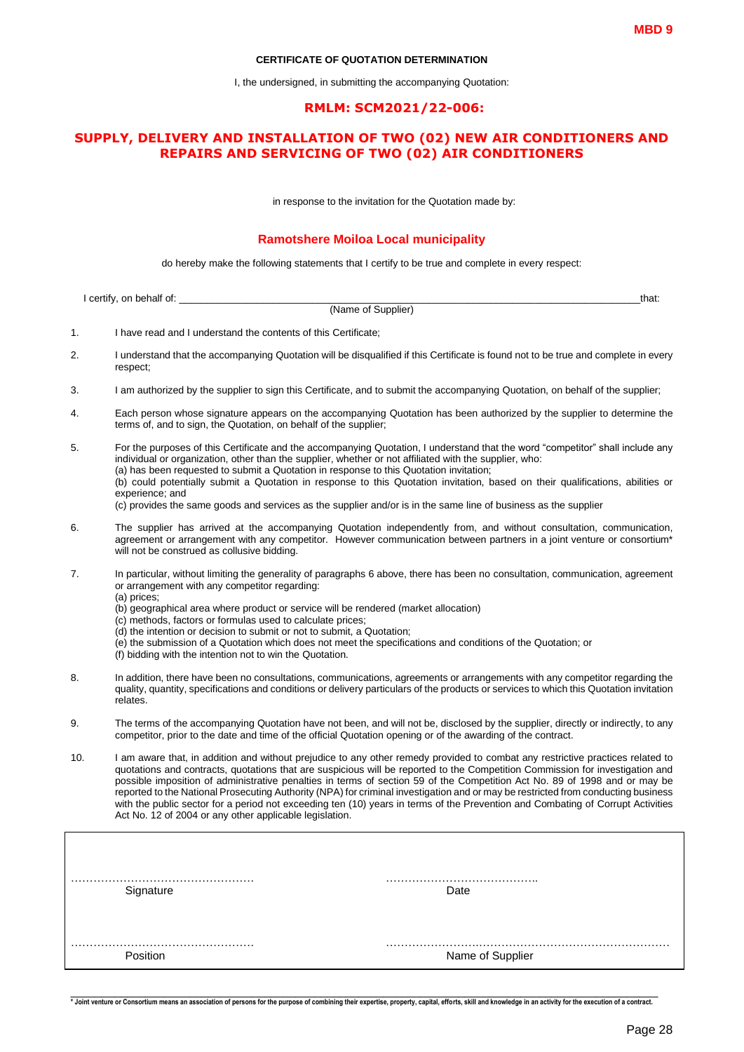#### **CERTIFICATE OF QUOTATION DETERMINATION**

I, the undersigned, in submitting the accompanying Quotation:

#### **RMLM: SCM2021/22-006:**

#### **SUPPLY, DELIVERY AND INSTALLATION OF TWO (02) NEW AIR CONDITIONERS AND REPAIRS AND SERVICING OF TWO (02) AIR CONDITIONERS**

in response to the invitation for the Quotation made by:

#### **Ramotshere Moiloa Local municipality**

do hereby make the following statements that I certify to be true and complete in every respect:

|     | I certify, on behalf of:                                                                                                                                                                                                                                                                                                                                | that:                                                                                                                                                                                                                                                                                                                                                                                                                                                                                                                                                                                                                                                                 |
|-----|---------------------------------------------------------------------------------------------------------------------------------------------------------------------------------------------------------------------------------------------------------------------------------------------------------------------------------------------------------|-----------------------------------------------------------------------------------------------------------------------------------------------------------------------------------------------------------------------------------------------------------------------------------------------------------------------------------------------------------------------------------------------------------------------------------------------------------------------------------------------------------------------------------------------------------------------------------------------------------------------------------------------------------------------|
|     |                                                                                                                                                                                                                                                                                                                                                         | (Name of Supplier)                                                                                                                                                                                                                                                                                                                                                                                                                                                                                                                                                                                                                                                    |
| 1.  | I have read and I understand the contents of this Certificate;                                                                                                                                                                                                                                                                                          |                                                                                                                                                                                                                                                                                                                                                                                                                                                                                                                                                                                                                                                                       |
| 2.  | respect;                                                                                                                                                                                                                                                                                                                                                | I understand that the accompanying Quotation will be disqualified if this Certificate is found not to be true and complete in every                                                                                                                                                                                                                                                                                                                                                                                                                                                                                                                                   |
| 3.  |                                                                                                                                                                                                                                                                                                                                                         | I am authorized by the supplier to sign this Certificate, and to submit the accompanying Quotation, on behalf of the supplier;                                                                                                                                                                                                                                                                                                                                                                                                                                                                                                                                        |
| 4.  | terms of, and to sign, the Quotation, on behalf of the supplier;                                                                                                                                                                                                                                                                                        | Each person whose signature appears on the accompanying Quotation has been authorized by the supplier to determine the                                                                                                                                                                                                                                                                                                                                                                                                                                                                                                                                                |
| 5.  | (a) has been requested to submit a Quotation in response to this Quotation invitation;<br>experience; and                                                                                                                                                                                                                                               | For the purposes of this Certificate and the accompanying Quotation, I understand that the word "competitor" shall include any<br>individual or organization, other than the supplier, whether or not affiliated with the supplier, who:<br>(b) could potentially submit a Quotation in response to this Quotation invitation, based on their qualifications, abilities or<br>(c) provides the same goods and services as the supplier and/or is in the same line of business as the supplier                                                                                                                                                                         |
| 6.  | will not be construed as collusive bidding.                                                                                                                                                                                                                                                                                                             | The supplier has arrived at the accompanying Quotation independently from, and without consultation, communication,<br>agreement or arrangement with any competitor. However communication between partners in a joint venture or consortium*                                                                                                                                                                                                                                                                                                                                                                                                                         |
| 7.  | or arrangement with any competitor regarding:<br>(a) prices;<br>(b) geographical area where product or service will be rendered (market allocation)<br>(c) methods, factors or formulas used to calculate prices;<br>(d) the intention or decision to submit or not to submit, a Quotation;<br>(f) bidding with the intention not to win the Quotation. | In particular, without limiting the generality of paragraphs 6 above, there has been no consultation, communication, agreement<br>(e) the submission of a Quotation which does not meet the specifications and conditions of the Quotation; or                                                                                                                                                                                                                                                                                                                                                                                                                        |
| 8.  | relates.                                                                                                                                                                                                                                                                                                                                                | In addition, there have been no consultations, communications, agreements or arrangements with any competitor regarding the<br>quality, quantity, specifications and conditions or delivery particulars of the products or services to which this Quotation invitation                                                                                                                                                                                                                                                                                                                                                                                                |
| 9.  |                                                                                                                                                                                                                                                                                                                                                         | The terms of the accompanying Quotation have not been, and will not be, disclosed by the supplier, directly or indirectly, to any<br>competitor, prior to the date and time of the official Quotation opening or of the awarding of the contract.                                                                                                                                                                                                                                                                                                                                                                                                                     |
| 10. | Act No. 12 of 2004 or any other applicable legislation.                                                                                                                                                                                                                                                                                                 | I am aware that, in addition and without prejudice to any other remedy provided to combat any restrictive practices related to<br>quotations and contracts, quotations that are suspicious will be reported to the Competition Commission for investigation and<br>possible imposition of administrative penalties in terms of section 59 of the Competition Act No. 89 of 1998 and or may be<br>reported to the National Prosecuting Authority (NPA) for criminal investigation and or may be restricted from conducting business<br>with the public sector for a period not exceeding ten (10) years in terms of the Prevention and Combating of Corrupt Activities |
|     |                                                                                                                                                                                                                                                                                                                                                         |                                                                                                                                                                                                                                                                                                                                                                                                                                                                                                                                                                                                                                                                       |
|     | Signature                                                                                                                                                                                                                                                                                                                                               | Date                                                                                                                                                                                                                                                                                                                                                                                                                                                                                                                                                                                                                                                                  |
|     | Position                                                                                                                                                                                                                                                                                                                                                | Name of Supplier                                                                                                                                                                                                                                                                                                                                                                                                                                                                                                                                                                                                                                                      |

-<br>\* Joint venture or Consortium means an association of persons for the purpose of combining their expertise, property, capital, efforts, skill and knowledge in an activity for the execution of a contract.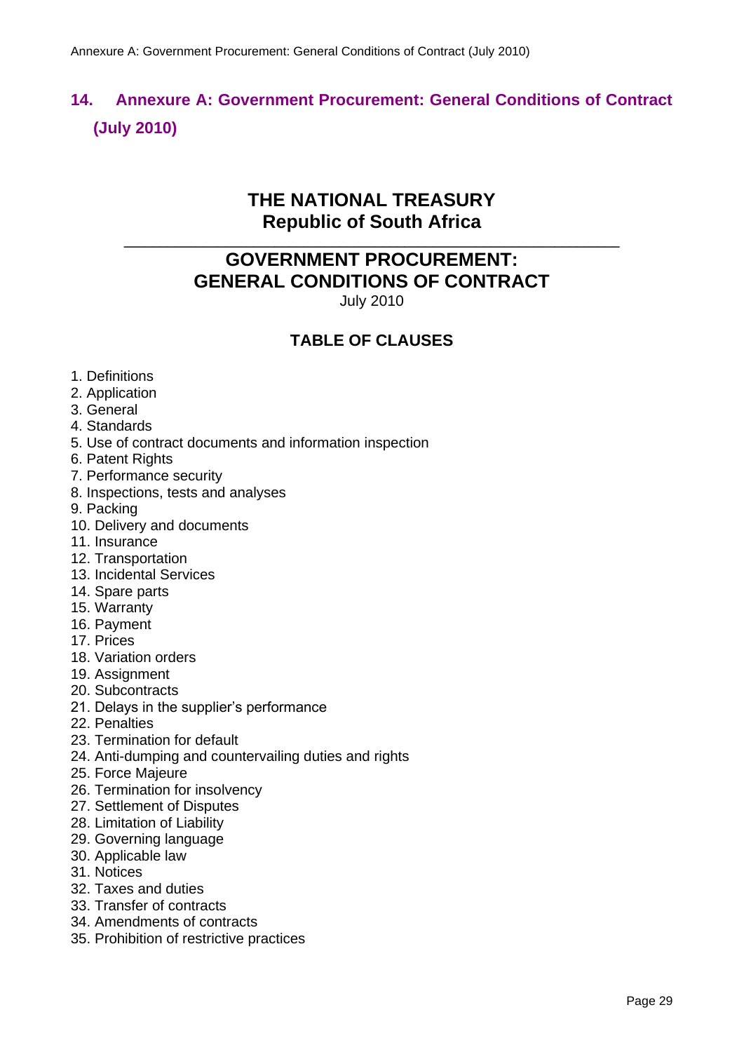# <span id="page-30-0"></span>**14. Annexure A: Government Procurement: General Conditions of Contract (July 2010)**

### **THE NATIONAL TREASURY Republic of South Africa**

**\_\_\_\_\_\_\_\_\_\_\_\_\_\_\_\_\_\_\_\_\_\_\_\_\_\_\_\_\_\_\_\_\_\_\_\_\_\_\_\_\_\_\_\_\_\_\_\_\_\_\_\_\_\_\_\_\_\_\_\_\_\_\_\_\_\_\_\_\_**

# **GOVERNMENT PROCUREMENT: GENERAL CONDITIONS OF CONTRACT**

July 2010

### **TABLE OF CLAUSES**

- 1. Definitions
- 2. Application
- 3. General
- 4. Standards
- 5. Use of contract documents and information inspection
- 6. Patent Rights
- 7. Performance security
- 8. Inspections, tests and analyses
- 9. Packing
- 10. Delivery and documents
- 11. Insurance
- 12. Transportation
- 13. Incidental Services
- 14. Spare parts
- 15. Warranty
- 16. Payment
- 17. Prices
- 18. Variation orders
- 19. Assignment
- 20. Subcontracts
- 21. Delays in the supplier's performance
- 22. Penalties
- 23. Termination for default
- 24. Anti-dumping and countervailing duties and rights
- 25. Force Majeure
- 26. Termination for insolvency
- 27. Settlement of Disputes
- 28. Limitation of Liability
- 29. Governing language
- 30. Applicable law
- 31. Notices
- 32. Taxes and duties
- 33. Transfer of contracts
- 34. Amendments of contracts
- 35. Prohibition of restrictive practices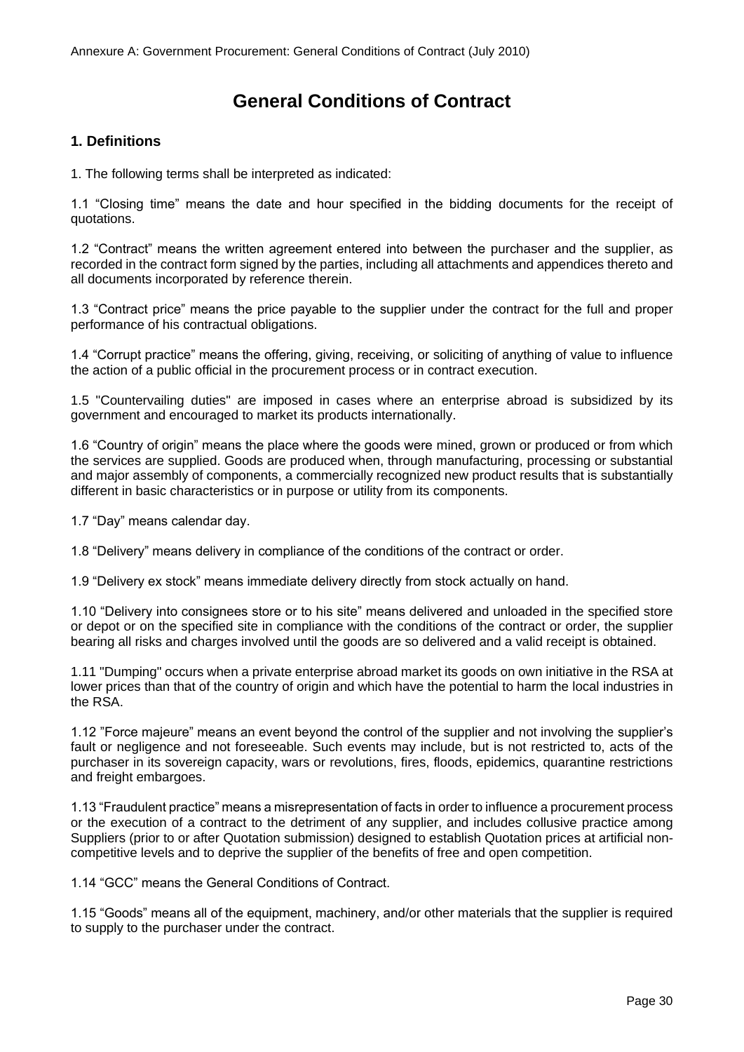## **General Conditions of Contract**

#### **1. Definitions**

1. The following terms shall be interpreted as indicated:

1.1 "Closing time" means the date and hour specified in the bidding documents for the receipt of quotations.

1.2 "Contract" means the written agreement entered into between the purchaser and the supplier, as recorded in the contract form signed by the parties, including all attachments and appendices thereto and all documents incorporated by reference therein.

1.3 "Contract price" means the price payable to the supplier under the contract for the full and proper performance of his contractual obligations.

1.4 "Corrupt practice" means the offering, giving, receiving, or soliciting of anything of value to influence the action of a public official in the procurement process or in contract execution.

1.5 "Countervailing duties" are imposed in cases where an enterprise abroad is subsidized by its government and encouraged to market its products internationally.

1.6 "Country of origin" means the place where the goods were mined, grown or produced or from which the services are supplied. Goods are produced when, through manufacturing, processing or substantial and major assembly of components, a commercially recognized new product results that is substantially different in basic characteristics or in purpose or utility from its components.

1.7 "Day" means calendar day.

1.8 "Delivery" means delivery in compliance of the conditions of the contract or order.

1.9 "Delivery ex stock" means immediate delivery directly from stock actually on hand.

1.10 "Delivery into consignees store or to his site" means delivered and unloaded in the specified store or depot or on the specified site in compliance with the conditions of the contract or order, the supplier bearing all risks and charges involved until the goods are so delivered and a valid receipt is obtained.

1.11 "Dumping" occurs when a private enterprise abroad market its goods on own initiative in the RSA at lower prices than that of the country of origin and which have the potential to harm the local industries in the RSA.

1.12 "Force majeure" means an event beyond the control of the supplier and not involving the supplier's fault or negligence and not foreseeable. Such events may include, but is not restricted to, acts of the purchaser in its sovereign capacity, wars or revolutions, fires, floods, epidemics, quarantine restrictions and freight embargoes.

1.13 "Fraudulent practice" means a misrepresentation of facts in order to influence a procurement process or the execution of a contract to the detriment of any supplier, and includes collusive practice among Suppliers (prior to or after Quotation submission) designed to establish Quotation prices at artificial noncompetitive levels and to deprive the supplier of the benefits of free and open competition.

1.14 "GCC" means the General Conditions of Contract.

1.15 "Goods" means all of the equipment, machinery, and/or other materials that the supplier is required to supply to the purchaser under the contract.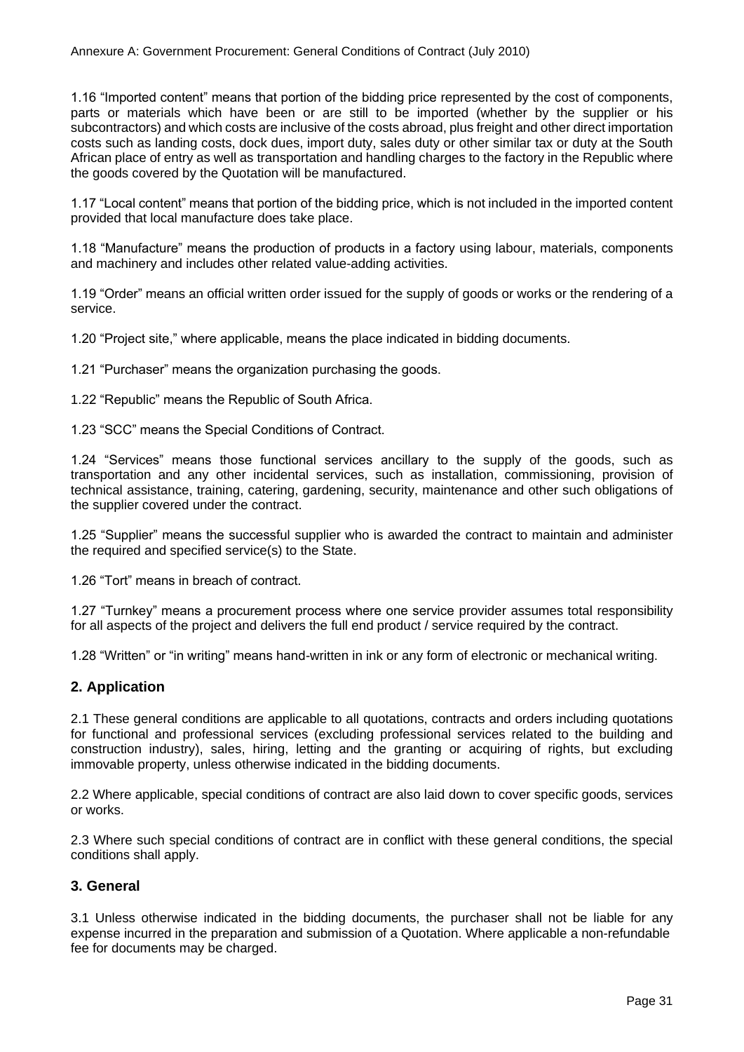1.16 "Imported content" means that portion of the bidding price represented by the cost of components, parts or materials which have been or are still to be imported (whether by the supplier or his subcontractors) and which costs are inclusive of the costs abroad, plus freight and other direct importation costs such as landing costs, dock dues, import duty, sales duty or other similar tax or duty at the South African place of entry as well as transportation and handling charges to the factory in the Republic where the goods covered by the Quotation will be manufactured.

1.17 "Local content" means that portion of the bidding price, which is not included in the imported content provided that local manufacture does take place.

1.18 "Manufacture" means the production of products in a factory using labour, materials, components and machinery and includes other related value-adding activities.

1.19 "Order" means an official written order issued for the supply of goods or works or the rendering of a service.

1.20 "Project site," where applicable, means the place indicated in bidding documents.

1.21 "Purchaser" means the organization purchasing the goods.

1.22 "Republic" means the Republic of South Africa.

1.23 "SCC" means the Special Conditions of Contract.

1.24 "Services" means those functional services ancillary to the supply of the goods, such as transportation and any other incidental services, such as installation, commissioning, provision of technical assistance, training, catering, gardening, security, maintenance and other such obligations of the supplier covered under the contract.

1.25 "Supplier" means the successful supplier who is awarded the contract to maintain and administer the required and specified service(s) to the State.

1.26 "Tort" means in breach of contract.

1.27 "Turnkey" means a procurement process where one service provider assumes total responsibility for all aspects of the project and delivers the full end product / service required by the contract.

1.28 "Written" or "in writing" means hand-written in ink or any form of electronic or mechanical writing.

#### **2. Application**

2.1 These general conditions are applicable to all quotations, contracts and orders including quotations for functional and professional services (excluding professional services related to the building and construction industry), sales, hiring, letting and the granting or acquiring of rights, but excluding immovable property, unless otherwise indicated in the bidding documents.

2.2 Where applicable, special conditions of contract are also laid down to cover specific goods, services or works.

2.3 Where such special conditions of contract are in conflict with these general conditions, the special conditions shall apply.

#### **3. General**

3.1 Unless otherwise indicated in the bidding documents, the purchaser shall not be liable for any expense incurred in the preparation and submission of a Quotation. Where applicable a non-refundable fee for documents may be charged.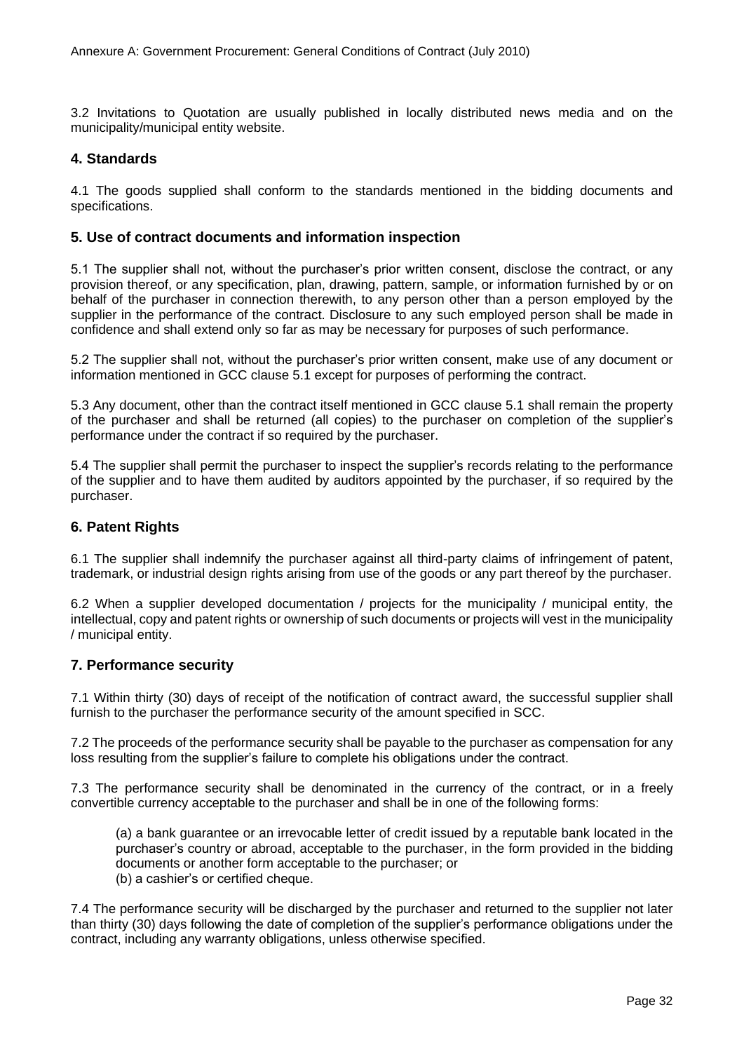3.2 Invitations to Quotation are usually published in locally distributed news media and on the municipality/municipal entity website.

#### **4. Standards**

4.1 The goods supplied shall conform to the standards mentioned in the bidding documents and specifications.

#### **5. Use of contract documents and information inspection**

5.1 The supplier shall not, without the purchaser's prior written consent, disclose the contract, or any provision thereof, or any specification, plan, drawing, pattern, sample, or information furnished by or on behalf of the purchaser in connection therewith, to any person other than a person employed by the supplier in the performance of the contract. Disclosure to any such employed person shall be made in confidence and shall extend only so far as may be necessary for purposes of such performance.

5.2 The supplier shall not, without the purchaser's prior written consent, make use of any document or information mentioned in GCC clause 5.1 except for purposes of performing the contract.

5.3 Any document, other than the contract itself mentioned in GCC clause 5.1 shall remain the property of the purchaser and shall be returned (all copies) to the purchaser on completion of the supplier's performance under the contract if so required by the purchaser.

5.4 The supplier shall permit the purchaser to inspect the supplier's records relating to the performance of the supplier and to have them audited by auditors appointed by the purchaser, if so required by the purchaser.

#### **6. Patent Rights**

6.1 The supplier shall indemnify the purchaser against all third-party claims of infringement of patent, trademark, or industrial design rights arising from use of the goods or any part thereof by the purchaser.

6.2 When a supplier developed documentation / projects for the municipality / municipal entity, the intellectual, copy and patent rights or ownership of such documents or projects will vest in the municipality / municipal entity.

#### **7. Performance security**

7.1 Within thirty (30) days of receipt of the notification of contract award, the successful supplier shall furnish to the purchaser the performance security of the amount specified in SCC.

7.2 The proceeds of the performance security shall be payable to the purchaser as compensation for any loss resulting from the supplier's failure to complete his obligations under the contract.

7.3 The performance security shall be denominated in the currency of the contract, or in a freely convertible currency acceptable to the purchaser and shall be in one of the following forms:

(a) a bank guarantee or an irrevocable letter of credit issued by a reputable bank located in the purchaser's country or abroad, acceptable to the purchaser, in the form provided in the bidding documents or another form acceptable to the purchaser; or (b) a cashier's or certified cheque.

7.4 The performance security will be discharged by the purchaser and returned to the supplier not later than thirty (30) days following the date of completion of the supplier's performance obligations under the contract, including any warranty obligations, unless otherwise specified.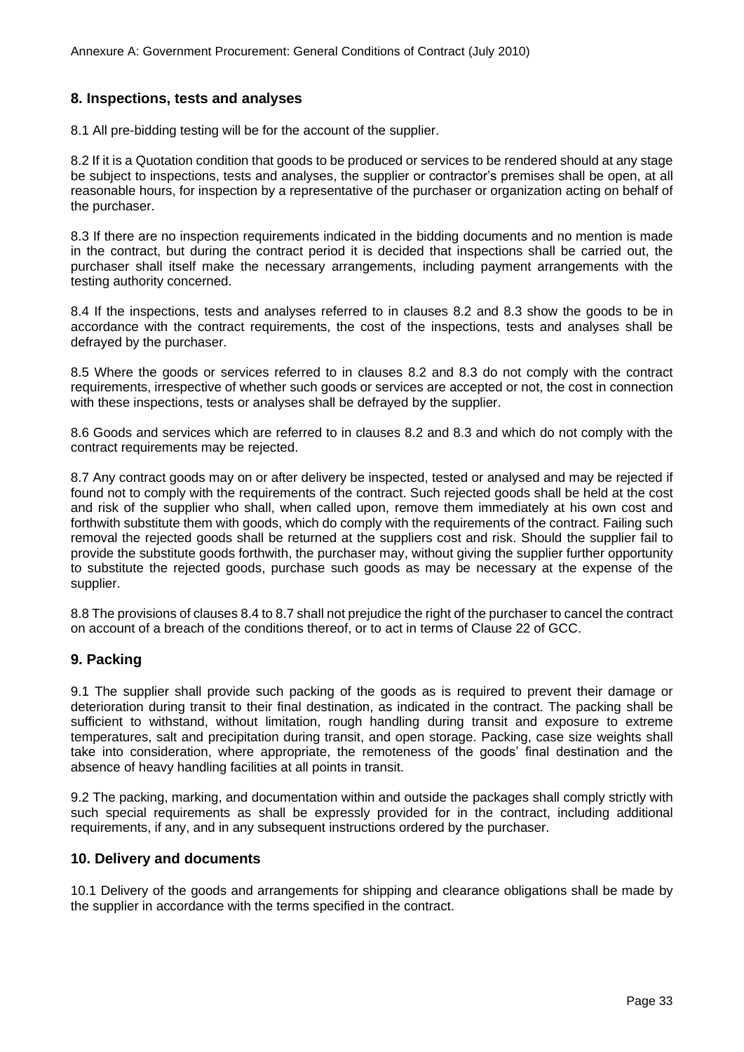#### **8. Inspections, tests and analyses**

8.1 All pre-bidding testing will be for the account of the supplier.

8.2 If it is a Quotation condition that goods to be produced or services to be rendered should at any stage be subject to inspections, tests and analyses, the supplier or contractor's premises shall be open, at all reasonable hours, for inspection by a representative of the purchaser or organization acting on behalf of the purchaser.

8.3 If there are no inspection requirements indicated in the bidding documents and no mention is made in the contract, but during the contract period it is decided that inspections shall be carried out, the purchaser shall itself make the necessary arrangements, including payment arrangements with the testing authority concerned.

8.4 If the inspections, tests and analyses referred to in clauses 8.2 and 8.3 show the goods to be in accordance with the contract requirements, the cost of the inspections, tests and analyses shall be defrayed by the purchaser.

8.5 Where the goods or services referred to in clauses 8.2 and 8.3 do not comply with the contract requirements, irrespective of whether such goods or services are accepted or not, the cost in connection with these inspections, tests or analyses shall be defrayed by the supplier.

8.6 Goods and services which are referred to in clauses 8.2 and 8.3 and which do not comply with the contract requirements may be rejected.

8.7 Any contract goods may on or after delivery be inspected, tested or analysed and may be rejected if found not to comply with the requirements of the contract. Such rejected goods shall be held at the cost and risk of the supplier who shall, when called upon, remove them immediately at his own cost and forthwith substitute them with goods, which do comply with the requirements of the contract. Failing such removal the rejected goods shall be returned at the suppliers cost and risk. Should the supplier fail to provide the substitute goods forthwith, the purchaser may, without giving the supplier further opportunity to substitute the rejected goods, purchase such goods as may be necessary at the expense of the supplier.

8.8 The provisions of clauses 8.4 to 8.7 shall not prejudice the right of the purchaser to cancel the contract on account of a breach of the conditions thereof, or to act in terms of Clause 22 of GCC.

#### **9. Packing**

9.1 The supplier shall provide such packing of the goods as is required to prevent their damage or deterioration during transit to their final destination, as indicated in the contract. The packing shall be sufficient to withstand, without limitation, rough handling during transit and exposure to extreme temperatures, salt and precipitation during transit, and open storage. Packing, case size weights shall take into consideration, where appropriate, the remoteness of the goods' final destination and the absence of heavy handling facilities at all points in transit.

9.2 The packing, marking, and documentation within and outside the packages shall comply strictly with such special requirements as shall be expressly provided for in the contract, including additional requirements, if any, and in any subsequent instructions ordered by the purchaser.

#### **10. Delivery and documents**

10.1 Delivery of the goods and arrangements for shipping and clearance obligations shall be made by the supplier in accordance with the terms specified in the contract.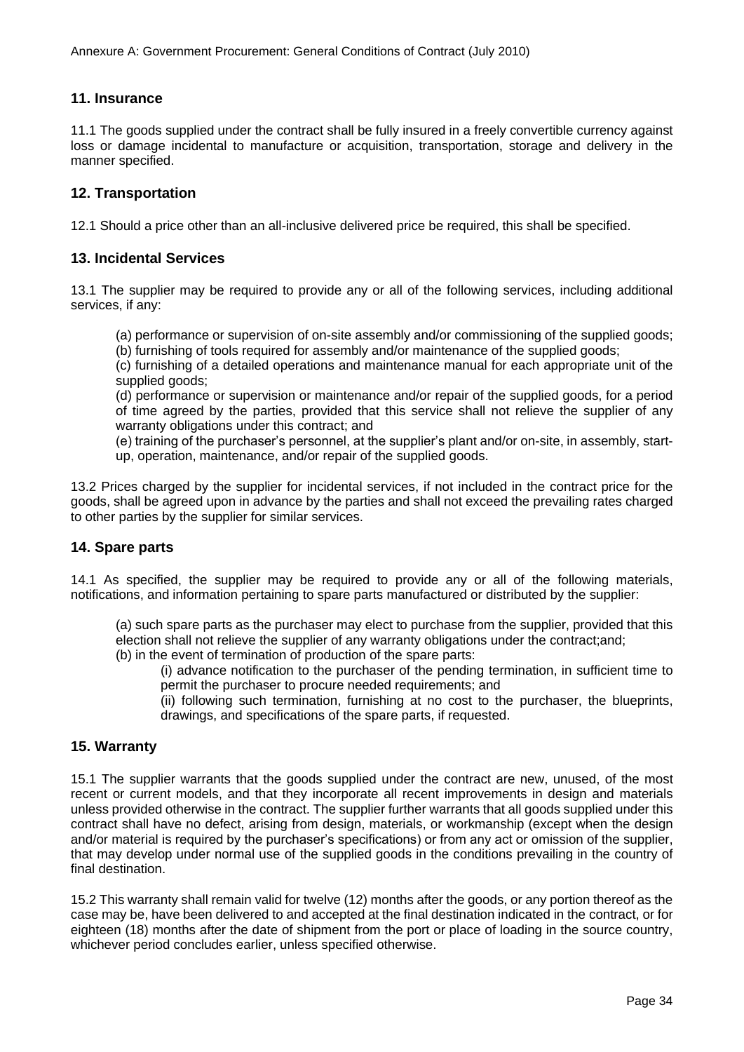#### **11. Insurance**

11.1 The goods supplied under the contract shall be fully insured in a freely convertible currency against loss or damage incidental to manufacture or acquisition, transportation, storage and delivery in the manner specified.

#### **12. Transportation**

12.1 Should a price other than an all-inclusive delivered price be required, this shall be specified.

#### **13. Incidental Services**

13.1 The supplier may be required to provide any or all of the following services, including additional services, if any:

(a) performance or supervision of on-site assembly and/or commissioning of the supplied goods;

(b) furnishing of tools required for assembly and/or maintenance of the supplied goods;

(c) furnishing of a detailed operations and maintenance manual for each appropriate unit of the supplied goods;

(d) performance or supervision or maintenance and/or repair of the supplied goods, for a period of time agreed by the parties, provided that this service shall not relieve the supplier of any warranty obligations under this contract; and

(e) training of the purchaser's personnel, at the supplier's plant and/or on-site, in assembly, startup, operation, maintenance, and/or repair of the supplied goods.

13.2 Prices charged by the supplier for incidental services, if not included in the contract price for the goods, shall be agreed upon in advance by the parties and shall not exceed the prevailing rates charged to other parties by the supplier for similar services.

#### **14. Spare parts**

14.1 As specified, the supplier may be required to provide any or all of the following materials, notifications, and information pertaining to spare parts manufactured or distributed by the supplier:

(a) such spare parts as the purchaser may elect to purchase from the supplier, provided that this election shall not relieve the supplier of any warranty obligations under the contract;and; (b) in the event of termination of production of the spare parts:

(i) advance notification to the purchaser of the pending termination, in sufficient time to permit the purchaser to procure needed requirements; and

(ii) following such termination, furnishing at no cost to the purchaser, the blueprints, drawings, and specifications of the spare parts, if requested.

#### **15. Warranty**

15.1 The supplier warrants that the goods supplied under the contract are new, unused, of the most recent or current models, and that they incorporate all recent improvements in design and materials unless provided otherwise in the contract. The supplier further warrants that all goods supplied under this contract shall have no defect, arising from design, materials, or workmanship (except when the design and/or material is required by the purchaser's specifications) or from any act or omission of the supplier, that may develop under normal use of the supplied goods in the conditions prevailing in the country of final destination.

15.2 This warranty shall remain valid for twelve (12) months after the goods, or any portion thereof as the case may be, have been delivered to and accepted at the final destination indicated in the contract, or for eighteen (18) months after the date of shipment from the port or place of loading in the source country, whichever period concludes earlier, unless specified otherwise.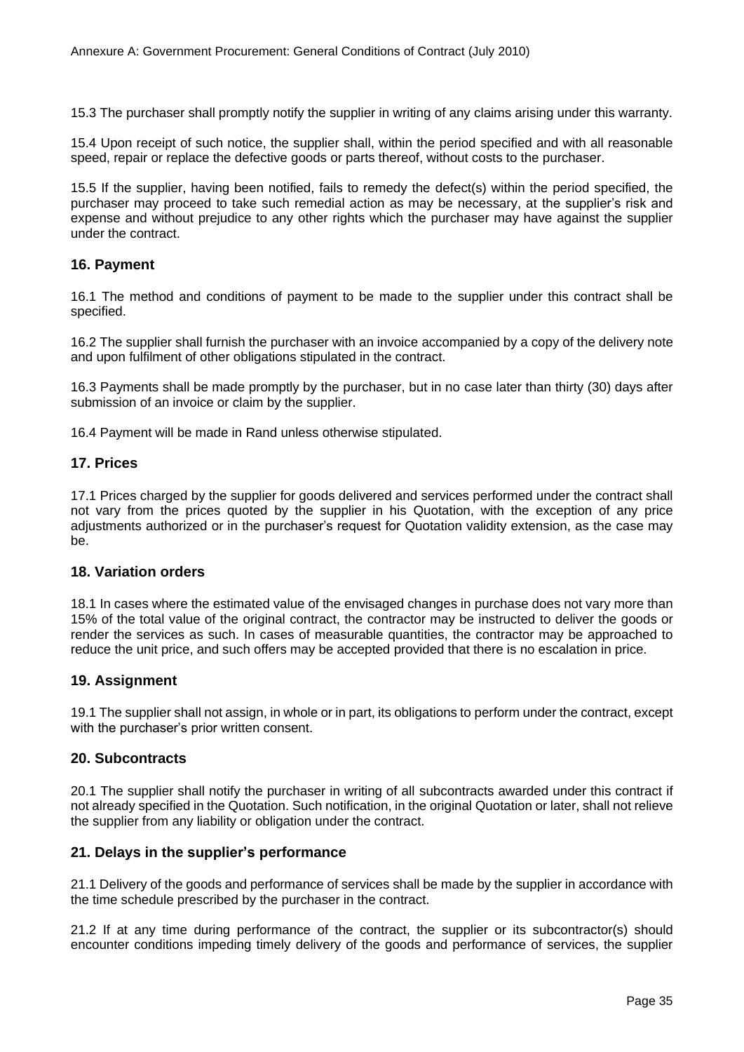15.3 The purchaser shall promptly notify the supplier in writing of any claims arising under this warranty.

15.4 Upon receipt of such notice, the supplier shall, within the period specified and with all reasonable speed, repair or replace the defective goods or parts thereof, without costs to the purchaser.

15.5 If the supplier, having been notified, fails to remedy the defect(s) within the period specified, the purchaser may proceed to take such remedial action as may be necessary, at the supplier's risk and expense and without prejudice to any other rights which the purchaser may have against the supplier under the contract.

#### **16. Payment**

16.1 The method and conditions of payment to be made to the supplier under this contract shall be specified.

16.2 The supplier shall furnish the purchaser with an invoice accompanied by a copy of the delivery note and upon fulfilment of other obligations stipulated in the contract.

16.3 Payments shall be made promptly by the purchaser, but in no case later than thirty (30) days after submission of an invoice or claim by the supplier.

16.4 Payment will be made in Rand unless otherwise stipulated.

#### **17. Prices**

17.1 Prices charged by the supplier for goods delivered and services performed under the contract shall not vary from the prices quoted by the supplier in his Quotation, with the exception of any price adjustments authorized or in the purchaser's request for Quotation validity extension, as the case may be.

#### **18. Variation orders**

18.1 In cases where the estimated value of the envisaged changes in purchase does not vary more than 15% of the total value of the original contract, the contractor may be instructed to deliver the goods or render the services as such. In cases of measurable quantities, the contractor may be approached to reduce the unit price, and such offers may be accepted provided that there is no escalation in price.

#### **19. Assignment**

19.1 The supplier shall not assign, in whole or in part, its obligations to perform under the contract, except with the purchaser's prior written consent.

#### **20. Subcontracts**

20.1 The supplier shall notify the purchaser in writing of all subcontracts awarded under this contract if not already specified in the Quotation. Such notification, in the original Quotation or later, shall not relieve the supplier from any liability or obligation under the contract.

#### **21. Delays in the supplier's performance**

21.1 Delivery of the goods and performance of services shall be made by the supplier in accordance with the time schedule prescribed by the purchaser in the contract.

21.2 If at any time during performance of the contract, the supplier or its subcontractor(s) should encounter conditions impeding timely delivery of the goods and performance of services, the supplier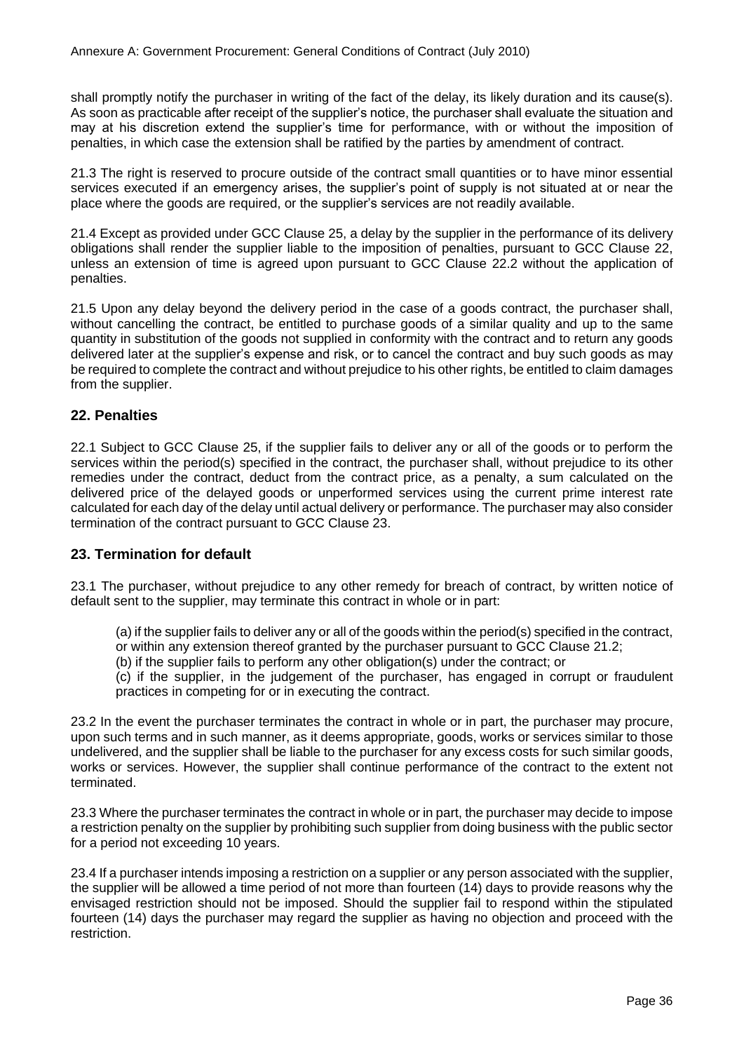shall promptly notify the purchaser in writing of the fact of the delay, its likely duration and its cause(s). As soon as practicable after receipt of the supplier's notice, the purchaser shall evaluate the situation and may at his discretion extend the supplier's time for performance, with or without the imposition of penalties, in which case the extension shall be ratified by the parties by amendment of contract.

21.3 The right is reserved to procure outside of the contract small quantities or to have minor essential services executed if an emergency arises, the supplier's point of supply is not situated at or near the place where the goods are required, or the supplier's services are not readily available.

21.4 Except as provided under GCC Clause 25, a delay by the supplier in the performance of its delivery obligations shall render the supplier liable to the imposition of penalties, pursuant to GCC Clause 22, unless an extension of time is agreed upon pursuant to GCC Clause 22.2 without the application of penalties.

21.5 Upon any delay beyond the delivery period in the case of a goods contract, the purchaser shall, without cancelling the contract, be entitled to purchase goods of a similar quality and up to the same quantity in substitution of the goods not supplied in conformity with the contract and to return any goods delivered later at the supplier's expense and risk, or to cancel the contract and buy such goods as may be required to complete the contract and without prejudice to his other rights, be entitled to claim damages from the supplier.

#### **22. Penalties**

22.1 Subject to GCC Clause 25, if the supplier fails to deliver any or all of the goods or to perform the services within the period(s) specified in the contract, the purchaser shall, without prejudice to its other remedies under the contract, deduct from the contract price, as a penalty, a sum calculated on the delivered price of the delayed goods or unperformed services using the current prime interest rate calculated for each day of the delay until actual delivery or performance. The purchaser may also consider termination of the contract pursuant to GCC Clause 23.

#### **23. Termination for default**

23.1 The purchaser, without prejudice to any other remedy for breach of contract, by written notice of default sent to the supplier, may terminate this contract in whole or in part:

(a) if the supplier fails to deliver any or all of the goods within the period(s) specified in the contract,

or within any extension thereof granted by the purchaser pursuant to GCC Clause 21.2;

(b) if the supplier fails to perform any other obligation(s) under the contract; or

(c) if the supplier, in the judgement of the purchaser, has engaged in corrupt or fraudulent practices in competing for or in executing the contract.

23.2 In the event the purchaser terminates the contract in whole or in part, the purchaser may procure, upon such terms and in such manner, as it deems appropriate, goods, works or services similar to those undelivered, and the supplier shall be liable to the purchaser for any excess costs for such similar goods, works or services. However, the supplier shall continue performance of the contract to the extent not terminated.

23.3 Where the purchaser terminates the contract in whole or in part, the purchaser may decide to impose a restriction penalty on the supplier by prohibiting such supplier from doing business with the public sector for a period not exceeding 10 years.

23.4 If a purchaser intends imposing a restriction on a supplier or any person associated with the supplier, the supplier will be allowed a time period of not more than fourteen (14) days to provide reasons why the envisaged restriction should not be imposed. Should the supplier fail to respond within the stipulated fourteen (14) days the purchaser may regard the supplier as having no objection and proceed with the restriction.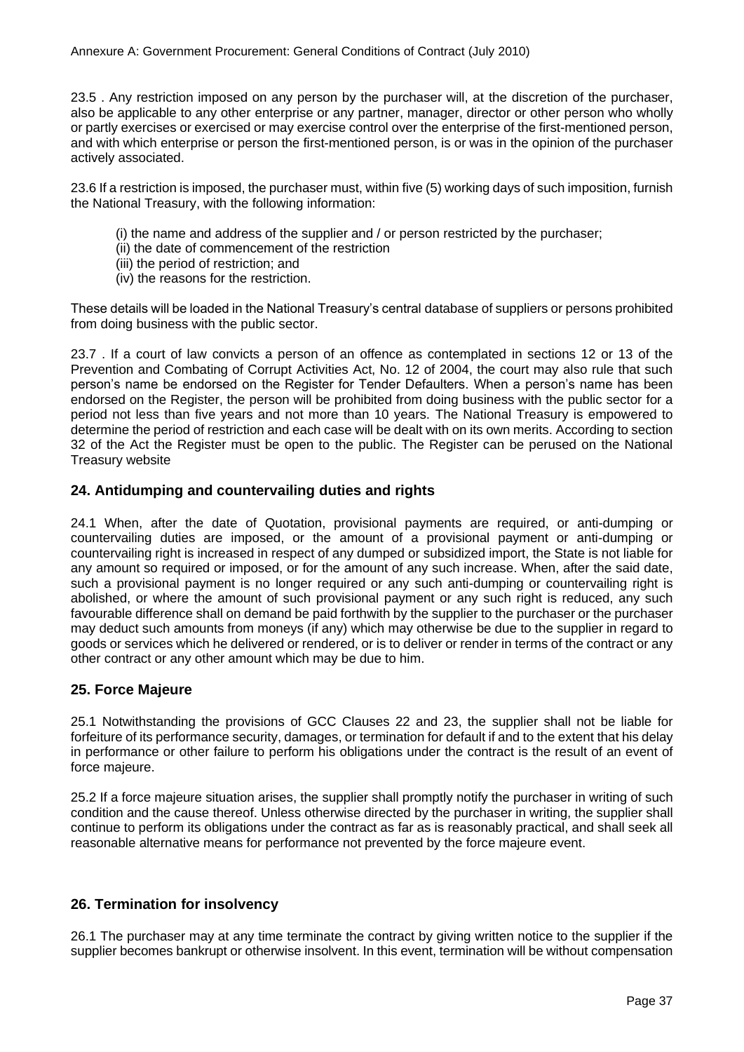23.5 . Any restriction imposed on any person by the purchaser will, at the discretion of the purchaser, also be applicable to any other enterprise or any partner, manager, director or other person who wholly or partly exercises or exercised or may exercise control over the enterprise of the first-mentioned person, and with which enterprise or person the first-mentioned person, is or was in the opinion of the purchaser actively associated.

23.6 If a restriction is imposed, the purchaser must, within five (5) working days of such imposition, furnish the National Treasury, with the following information:

- (i) the name and address of the supplier and / or person restricted by the purchaser;
- (ii) the date of commencement of the restriction
- (iii) the period of restriction; and
- (iv) the reasons for the restriction.

These details will be loaded in the National Treasury's central database of suppliers or persons prohibited from doing business with the public sector.

23.7 . If a court of law convicts a person of an offence as contemplated in sections 12 or 13 of the Prevention and Combating of Corrupt Activities Act, No. 12 of 2004, the court may also rule that such person's name be endorsed on the Register for Tender Defaulters. When a person's name has been endorsed on the Register, the person will be prohibited from doing business with the public sector for a period not less than five years and not more than 10 years. The National Treasury is empowered to determine the period of restriction and each case will be dealt with on its own merits. According to section 32 of the Act the Register must be open to the public. The Register can be perused on the National Treasury website

#### **24. Antidumping and countervailing duties and rights**

24.1 When, after the date of Quotation, provisional payments are required, or anti-dumping or countervailing duties are imposed, or the amount of a provisional payment or anti-dumping or countervailing right is increased in respect of any dumped or subsidized import, the State is not liable for any amount so required or imposed, or for the amount of any such increase. When, after the said date, such a provisional payment is no longer required or any such anti-dumping or countervailing right is abolished, or where the amount of such provisional payment or any such right is reduced, any such favourable difference shall on demand be paid forthwith by the supplier to the purchaser or the purchaser may deduct such amounts from moneys (if any) which may otherwise be due to the supplier in regard to goods or services which he delivered or rendered, or is to deliver or render in terms of the contract or any other contract or any other amount which may be due to him.

#### **25. Force Majeure**

25.1 Notwithstanding the provisions of GCC Clauses 22 and 23, the supplier shall not be liable for forfeiture of its performance security, damages, or termination for default if and to the extent that his delay in performance or other failure to perform his obligations under the contract is the result of an event of force majeure.

25.2 If a force majeure situation arises, the supplier shall promptly notify the purchaser in writing of such condition and the cause thereof. Unless otherwise directed by the purchaser in writing, the supplier shall continue to perform its obligations under the contract as far as is reasonably practical, and shall seek all reasonable alternative means for performance not prevented by the force majeure event.

#### **26. Termination for insolvency**

26.1 The purchaser may at any time terminate the contract by giving written notice to the supplier if the supplier becomes bankrupt or otherwise insolvent. In this event, termination will be without compensation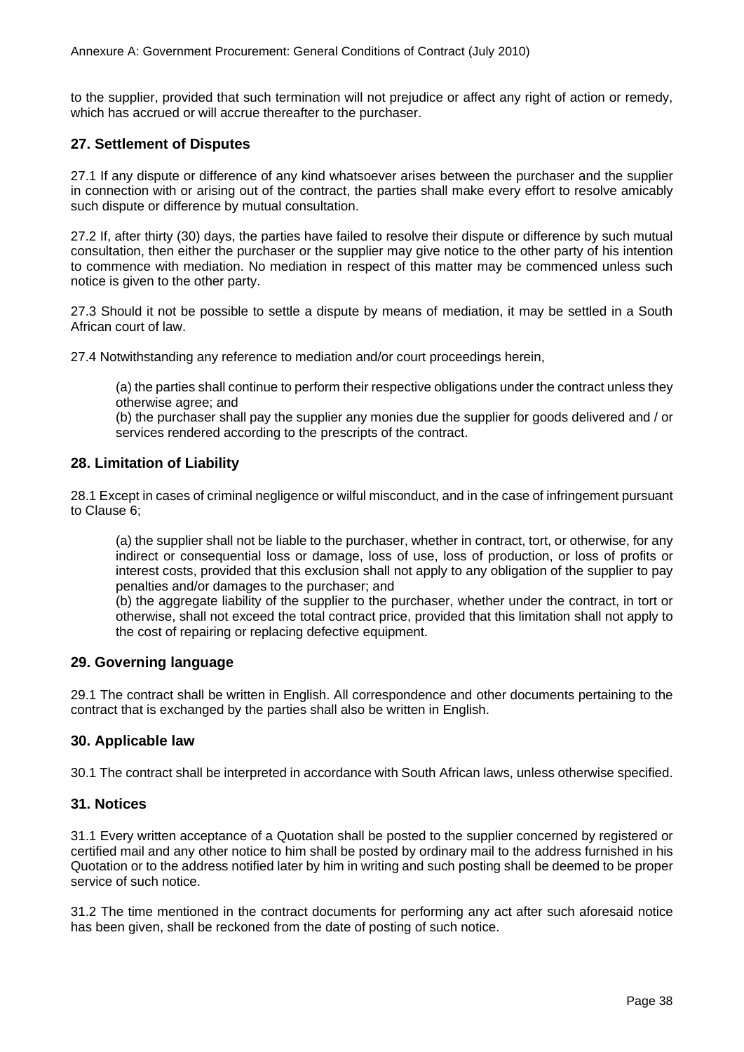to the supplier, provided that such termination will not prejudice or affect any right of action or remedy, which has accrued or will accrue thereafter to the purchaser.

#### **27. Settlement of Disputes**

27.1 If any dispute or difference of any kind whatsoever arises between the purchaser and the supplier in connection with or arising out of the contract, the parties shall make every effort to resolve amicably such dispute or difference by mutual consultation.

27.2 If, after thirty (30) days, the parties have failed to resolve their dispute or difference by such mutual consultation, then either the purchaser or the supplier may give notice to the other party of his intention to commence with mediation. No mediation in respect of this matter may be commenced unless such notice is given to the other party.

27.3 Should it not be possible to settle a dispute by means of mediation, it may be settled in a South African court of law.

27.4 Notwithstanding any reference to mediation and/or court proceedings herein,

(a) the parties shall continue to perform their respective obligations under the contract unless they otherwise agree; and

(b) the purchaser shall pay the supplier any monies due the supplier for goods delivered and / or services rendered according to the prescripts of the contract.

#### **28. Limitation of Liability**

28.1 Except in cases of criminal negligence or wilful misconduct, and in the case of infringement pursuant to Clause 6;

(a) the supplier shall not be liable to the purchaser, whether in contract, tort, or otherwise, for any indirect or consequential loss or damage, loss of use, loss of production, or loss of profits or interest costs, provided that this exclusion shall not apply to any obligation of the supplier to pay penalties and/or damages to the purchaser; and

(b) the aggregate liability of the supplier to the purchaser, whether under the contract, in tort or otherwise, shall not exceed the total contract price, provided that this limitation shall not apply to the cost of repairing or replacing defective equipment.

#### **29. Governing language**

29.1 The contract shall be written in English. All correspondence and other documents pertaining to the contract that is exchanged by the parties shall also be written in English.

#### **30. Applicable law**

30.1 The contract shall be interpreted in accordance with South African laws, unless otherwise specified.

#### **31. Notices**

31.1 Every written acceptance of a Quotation shall be posted to the supplier concerned by registered or certified mail and any other notice to him shall be posted by ordinary mail to the address furnished in his Quotation or to the address notified later by him in writing and such posting shall be deemed to be proper service of such notice.

31.2 The time mentioned in the contract documents for performing any act after such aforesaid notice has been given, shall be reckoned from the date of posting of such notice.